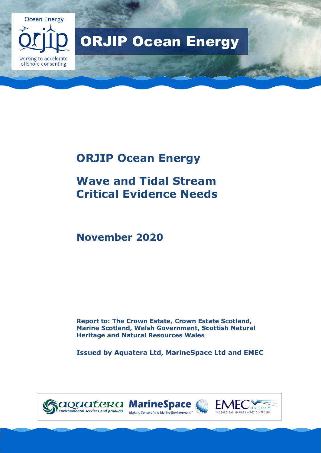

# ORJIP Ocean Energy

# **ORJIP Ocean Energy**

# **Wave and Tidal Stream Critical Evidence Needs**

# **November 2020**

**Report to: The Crown Estate, Crown Estate Scotland, Marine Scotland, Welsh Government, Scottish Natural Heritage and Natural Resources Wales**

**Issued by Aquatera Ltd, MarineSpace Ltd and EMEC**





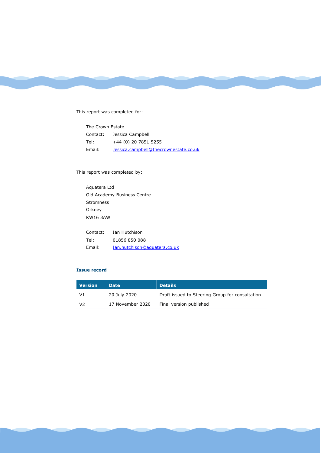This report was completed for:

| The Crown Estate |                                       |  |
|------------------|---------------------------------------|--|
| Contact:         | Jessica Campbell                      |  |
| Tel:             | +44 (0) 20 7851 5255                  |  |
| Email:           | Jessica.campbell@thecrownestate.co.uk |  |

This report was completed by:

Aquatera Ltd Old Academy Business Centre Stromness Orkney KW16 3AW

| Contact: | Ian Hutchison                |
|----------|------------------------------|
| Tel:     | 01856 850 088                |
| Email:   | Ian.hutchison@aguatera.co.uk |

#### **Issue record**

| <b>Version</b> | <b>Date</b>      | <b>Details</b>                                  |
|----------------|------------------|-------------------------------------------------|
| V1             | 20 July 2020     | Draft issued to Steering Group for consultation |
| V2             | 17 November 2020 | Final version published                         |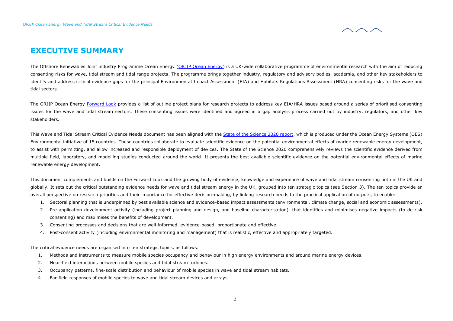## **EXECUTIVE SUMMARY**

The Offshore Renewables Joint industry Programme Ocean Energy [\(ORJIP Ocean Energy\)](http://www.orjip.org.uk/oceanenergy/about) is a UK-wide collaborative programme of environmental research with the aim of reducing consenting risks for wave, tidal stream and tidal range projects. The programme brings together industry, regulatory and advisory bodies, academia, and other key stakeholders to identify and address critical evidence gaps for the principal Environmental Impact Assessment (EIA) and Habitats Regulations Assessment (HRA) consenting risks for the wave and tidal sectors.

The ORJIP Ocean Energy [Forward Look](http://www.orjip.org.uk/sites/default/files/ORJIP%20Ocean%20Energy%20Forward%20Look%203%20FINAL.pdf) provides a list of outline project plans for research projects to address key EIA/HRA issues based around a series of prioritised consenting issues for the wave and tidal stream sectors. These consenting issues were identified and agreed in a gap analysis process carried out by industry, regulators, and other key stakeholders.

This Wave and Tidal Stream Critical Evidence Needs document has been aligned with th[e State of the Science 2020 report,](https://tethys.pnnl.gov/publications/state-of-the-science-2020) which is produced under the Ocean Energy Systems (OES) Environmental initiative of 15 countries. These countries collaborate to evaluate scientific evidence on the potential environmental effects of marine renewable energy development, to assist with permitting, and allow increased and responsible deployment of devices. The State of the Science 2020 comprehensively reviews the scientific evidence derived from multiple field, laboratory, and modelling studies conducted around the world. It presents the best available scientific evidence on the potential environmental effects of marine renewable energy development.

<span id="page-4-0"></span>This document complements and builds on the Forward Look and the growing body of evidence, knowledge and experience of wave and tidal stream consenting both in the UK and globally. It sets out the critical outstanding evidence needs for wave and tidal stream energy in the UK, grouped into ten strategic topics (see Section 3). The ten topics provide an overall perspective on research priorities and their importance for effective decision-making, by linking research needs to the practical application of outputs, to enable:

- 1. Sectoral planning that is underpinned by best available science and evidence-based impact assessments (environmental, climate change, social and economic assessments).
- 2. Pre-application development activity (including project planning and design, and baseline characterisation), that identifies and minimises negative impacts (to de-risk consenting) and maximises the benefits of development.
- 3. Consenting processes and decisions that are well-informed, evidence-based, proportionate and effective.
- 4. Post-consent activity (including environmental monitoring and management) that is realistic, effective and appropriately targeted.

The critical evidence needs are organised into ten strategic topics, as follows:

- 1. Methods and instruments to measure mobile species occupancy and behaviour in high energy environments and around marine energy devices.
- 2. Near-field interactions between mobile species and tidal stream turbines.
- 3. Occupancy patterns, fine-scale distribution and behaviour of mobile species in wave and tidal stream habitats.
- 4. Far-field responses of mobile species to wave and tidal stream devices and arrays.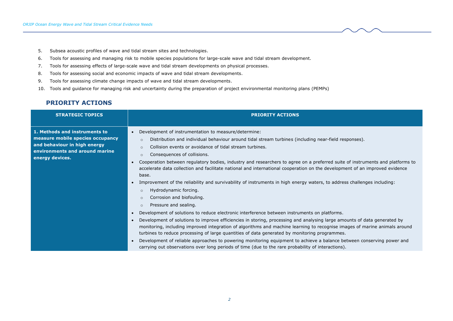- 5. Subsea acoustic profiles of wave and tidal stream sites and technologies.
- 6. Tools for assessing and managing risk to mobile species populations for large-scale wave and tidal stream development.
- 7. Tools for assessing effects of large-scale wave and tidal stream developments on physical processes.
- 8. Tools for assessing social and economic impacts of wave and tidal stream developments.
- 9. Tools for assessing climate change impacts of wave and tidal stream developments.
- 10. Tools and guidance for managing risk and uncertainty during the preparation of project environmental monitoring plans (PEMPs)

## **PRIORITY ACTIONS**

<span id="page-5-0"></span>

| <b>STRATEGIC TOPICS</b>                                                                                                                                | <b>PRIORITY ACTIONS</b>                                                                                                                                                                                                                                                                                                                                                                                                                                                                                                                                                                                                                                                                                                       |
|--------------------------------------------------------------------------------------------------------------------------------------------------------|-------------------------------------------------------------------------------------------------------------------------------------------------------------------------------------------------------------------------------------------------------------------------------------------------------------------------------------------------------------------------------------------------------------------------------------------------------------------------------------------------------------------------------------------------------------------------------------------------------------------------------------------------------------------------------------------------------------------------------|
| 1. Methods and instruments to<br>measure mobile species occupancy<br>and behaviour in high energy<br>environments and around marine<br>energy devices. | Development of instrumentation to measure/determine:<br>$\bullet$<br>Distribution and individual behaviour around tidal stream turbines (including near-field responses).<br>$\circ$<br>Collision events or avoidance of tidal stream turbines.<br>$\Omega$<br>Consequences of collisions.<br>$\circ$<br>Cooperation between regulatory bodies, industry and researchers to agree on a preferred suite of instruments and platforms to<br>$\bullet$<br>accelerate data collection and facilitate national and international cooperation on the development of an improved evidence                                                                                                                                            |
|                                                                                                                                                        | base.<br>Improvement of the reliability and survivability of instruments in high energy waters, to address challenges including:<br>$\bullet$<br>Hydrodynamic forcing.<br>$\circ$<br>Corrosion and biofouling.<br>$\circ$<br>Pressure and sealing.<br>$\circ$                                                                                                                                                                                                                                                                                                                                                                                                                                                                 |
|                                                                                                                                                        | Development of solutions to reduce electronic interference between instruments on platforms.<br>$\bullet$<br>Development of solutions to improve efficiencies in storing, processing and analysing large amounts of data generated by<br>$\bullet$<br>monitoring, including improved integration of algorithms and machine learning to recognise images of marine animals around<br>turbines to reduce processing of large quantities of data generated by monitoring programmes.<br>Development of reliable approaches to powering monitoring equipment to achieve a balance between conserving power and<br>$\bullet$<br>carrying out observations over long periods of time (due to the rare probability of interactions). |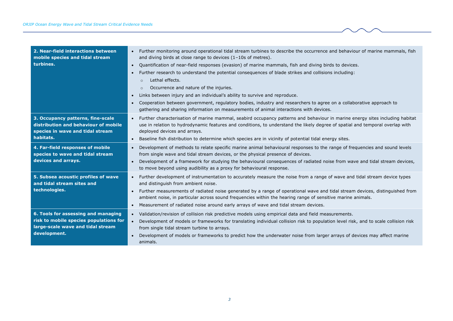| 2. Near-field interactions between<br>mobile species and tidal stream<br>turbines.                                                 | Further monitoring around operational tidal stream turbines to describe the occurrence and behaviour of marine mammals, fish<br>$\bullet$<br>and diving birds at close range to devices $(1-10s)$ of metres).<br>Quantification of near-field responses (evasion) of marine mammals, fish and diving birds to devices.<br>$\bullet$<br>Further research to understand the potential consequences of blade strikes and collisions including:<br>$\bullet$<br>Lethal effects.<br>$\circ$<br>Occurrence and nature of the injuries.<br>$\circ$<br>Links between injury and an individual's ability to survive and reproduce.<br>$\bullet$<br>Cooperation between government, regulatory bodies, industry and researchers to agree on a collaborative approach to<br>$\bullet$<br>gathering and sharing information on measurements of animal interactions with devices. |
|------------------------------------------------------------------------------------------------------------------------------------|----------------------------------------------------------------------------------------------------------------------------------------------------------------------------------------------------------------------------------------------------------------------------------------------------------------------------------------------------------------------------------------------------------------------------------------------------------------------------------------------------------------------------------------------------------------------------------------------------------------------------------------------------------------------------------------------------------------------------------------------------------------------------------------------------------------------------------------------------------------------|
| 3. Occupancy patterns, fine-scale<br>distribution and behaviour of mobile<br>species in wave and tidal stream<br>habitats.         | Further characterisation of marine mammal, seabird occupancy patterns and behaviour in marine energy sites including habitat<br>$\bullet$<br>use in relation to hydrodynamic features and conditions, to understand the likely degree of spatial and temporal overlap with<br>deployed devices and arrays.<br>Baseline fish distribution to determine which species are in vicinity of potential tidal energy sites.<br>$\bullet$                                                                                                                                                                                                                                                                                                                                                                                                                                    |
| 4. Far-field responses of mobile<br>species to wave and tidal stream<br>devices and arrays.                                        | Development of methods to relate specific marine animal behavioural responses to the range of frequencies and sound levels<br>$\bullet$<br>from single wave and tidal stream devices, or the physical presence of devices.<br>Development of a framework for studying the behavioural consequences of radiated noise from wave and tidal stream devices,<br>$\bullet$<br>to move beyond using audibility as a proxy for behavioural response.                                                                                                                                                                                                                                                                                                                                                                                                                        |
| 5. Subsea acoustic profiles of wave<br>and tidal stream sites and<br>technologies.                                                 | Further development of instrumentation to accurately measure the noise from a range of wave and tidal stream device types<br>$\bullet$<br>and distinguish from ambient noise.<br>Further measurements of radiated noise generated by a range of operational wave and tidal stream devices, distinguished from<br>$\bullet$<br>ambient noise, in particular across sound frequencies within the hearing range of sensitive marine animals.<br>Measurement of radiated noise around early arrays of wave and tidal stream devices.<br>$\bullet$                                                                                                                                                                                                                                                                                                                        |
| 6. Tools for assessing and managing<br>risk to mobile species populations for<br>large-scale wave and tidal stream<br>development. | Validation/revision of collision risk predictive models using empirical data and field measurements.<br>$\bullet$<br>Development of models or frameworks for translating individual collision risk to population level risk, and to scale collision risk<br>from single tidal stream turbine to arrays.<br>Development of models or frameworks to predict how the underwater noise from larger arrays of devices may affect marine<br>$\bullet$<br>animals.                                                                                                                                                                                                                                                                                                                                                                                                          |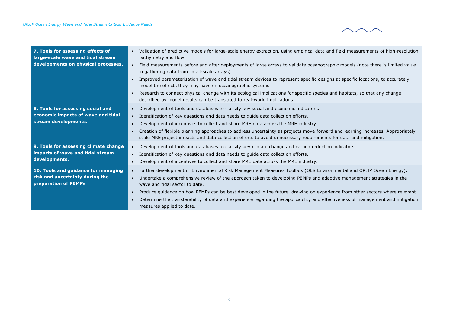| 7. Tools for assessing effects of<br>large-scale wave and tidal stream<br>developments on physical processes. | Validation of predictive models for large-scale energy extraction, using empirical data and field measurements of high-resolution<br>$\bullet$<br>bathymetry and flow.<br>Field measurements before and after deployments of large arrays to validate oceanographic models (note there is limited value<br>in gathering data from small-scale arrays).<br>Improved parameterisation of wave and tidal stream devices to represent specific designs at specific locations, to accurately<br>model the effects they may have on oceanographic systems.<br>Research to connect physical change with its ecological implications for specific species and habitats, so that any change<br>$\bullet$<br>described by model results can be translated to real-world implications. |
|---------------------------------------------------------------------------------------------------------------|-----------------------------------------------------------------------------------------------------------------------------------------------------------------------------------------------------------------------------------------------------------------------------------------------------------------------------------------------------------------------------------------------------------------------------------------------------------------------------------------------------------------------------------------------------------------------------------------------------------------------------------------------------------------------------------------------------------------------------------------------------------------------------|
| 8. Tools for assessing social and<br>economic impacts of wave and tidal<br>stream developments.               | Development of tools and databases to classify key social and economic indicators.<br>$\bullet$<br>Identification of key questions and data needs to quide data collection efforts.<br>$\bullet$<br>Development of incentives to collect and share MRE data across the MRE industry.<br>$\bullet$<br>Creation of flexible planning approaches to address uncertainty as projects move forward and learning increases. Appropriately<br>$\bullet$<br>scale MRE project impacts and data collection efforts to avoid unnecessary requirements for data and mitigation.                                                                                                                                                                                                        |
| 9. Tools for assessing climate change<br>impacts of wave and tidal stream<br>developments.                    | Development of tools and databases to classify key climate change and carbon reduction indicators.<br>$\bullet$<br>Identification of key questions and data needs to guide data collection efforts.<br>$\bullet$<br>Development of incentives to collect and share MRE data across the MRE industry.<br>$\bullet$                                                                                                                                                                                                                                                                                                                                                                                                                                                           |
| 10. Tools and guidance for managing<br>risk and uncertainty during the<br>preparation of PEMPs                | Further development of Environmental Risk Management Measures Toolbox (OES Environmental and ORJIP Ocean Energy).<br>$\bullet$<br>Undertake a comprehensive review of the approach taken to developing PEMPs and adaptive management strategies in the<br>$\bullet$<br>wave and tidal sector to date.<br>Produce guidance on how PEMPs can be best developed in the future, drawing on experience from other sectors where relevant.<br>$\bullet$<br>Determine the transferability of data and experience regarding the applicability and effectiveness of management and mitigation<br>measures applied to date.                                                                                                                                                           |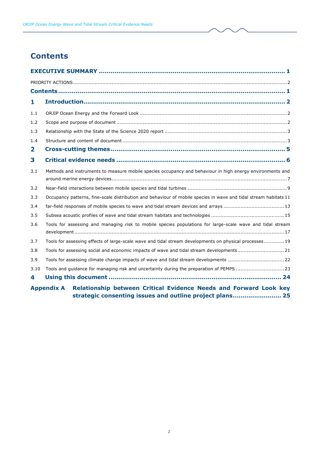# <span id="page-8-0"></span>**Contents**

| 1    |                                                                                                                  |  |  |
|------|------------------------------------------------------------------------------------------------------------------|--|--|
| 1.1  |                                                                                                                  |  |  |
| 1.2  |                                                                                                                  |  |  |
| 1.3  |                                                                                                                  |  |  |
| 1.4  |                                                                                                                  |  |  |
| 2    |                                                                                                                  |  |  |
| 3    |                                                                                                                  |  |  |
| 3.1  | Methods and instruments to measure mobile species occupancy and behaviour in high energy environments and        |  |  |
|      |                                                                                                                  |  |  |
| 3.2  |                                                                                                                  |  |  |
| 3.3  | Occupancy patterns, fine-scale distribution and behaviour of mobile species in wave and tidal stream habitats 11 |  |  |
| 3.4  | far-field responses of mobile species to wave and tidal stream devices and arrays  13                            |  |  |
| 3.5  |                                                                                                                  |  |  |
| 3.6  | Tools for assessing and managing risk to mobile species populations for large-scale wave and tidal stream        |  |  |
| 3.7  | Tools for assessing effects of large-scale wave and tidal stream developments on physical processes 19           |  |  |
| 3.8  | Tools for assessing social and economic impacts of wave and tidal stream developments21                          |  |  |
| 3.9  |                                                                                                                  |  |  |
| 3.10 | Tools and guidance for managing risk and uncertainty during the preparation of PEMPS  23                         |  |  |
| 4    |                                                                                                                  |  |  |
|      | Annondiy A. Delationship hetween Critical Evidence Needs and Eesward Leek key                                    |  |  |

**Appendix A [Relationship between Critical Evidence Needs and Forward Look key](#page-32-0)  [strategic consenting issues and outline project plans.........................](#page-32-0) 25**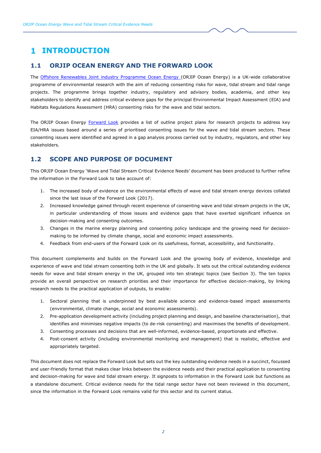# <span id="page-9-0"></span>**INTRODUCTION**

## <span id="page-9-1"></span>**1.1 ORJIP OCEAN ENERGY AND THE FORWARD LOOK**

The [Offshore Renewables Joint industry Programme Ocean Energy](http://www.orjip.org.uk/) (ORJIP Ocean Energy) is a UK-wide collaborative programme of environmental research with the aim of reducing consenting risks for wave, tidal stream and tidal range projects. The programme brings together industry, regulatory and advisory bodies, academia, and other key stakeholders to identify and address critical evidence gaps for the principal Environmental Impact Assessment (EIA) and Habitats Regulations Assessment (HRA) consenting risks for the wave and tidal sectors.

The ORJIP Ocean Energy [Forward Look](http://www.orjip.org.uk/sites/default/files/ORJIP%20Ocean%20Energy%20Forward%20Look%203%20FINAL.pdf) provides a list of outline project plans for research projects to address key EIA/HRA issues based around a series of prioritised consenting issues for the wave and tidal stream sectors. These consenting issues were identified and agreed in a gap analysis process carried out by industry, regulators, and other key stakeholders.

## <span id="page-9-2"></span>**1.2 SCOPE AND PURPOSE OF DOCUMENT**

This ORJIP Ocean Energy 'Wave and Tidal Stream Critical Evidence Needs' document has been produced to further refine the information in the Forward Look to take account of:

- 1. The increased body of evidence on the environmental effects of wave and tidal stream energy devices collated since the last issue of the Forward Look (2017).
- 2. Increased knowledge gained through recent experience of consenting wave and tidal stream projects in the UK, in particular understanding of those issues and evidence gaps that have exerted significant influence on decision-making and consenting outcomes.
- 3. Changes in the marine energy planning and consenting policy landscape and the growing need for decisionmaking to be informed by climate change, social and economic impact assessments.
- 4. Feedback from end-users of the Forward Look on its usefulness, format, accessibility, and functionality.

This document complements and builds on the Forward Look and the growing body of evidence, knowledge and experience of wave and tidal stream consenting both in the UK and globally. It sets out the critical outstanding evidence needs for wave and tidal stream energy in the UK, grouped into ten strategic topics (see Section 3). The ten topics provide an overall perspective on research priorities and their importance for effective decision-making, by linking research needs to the practical application of outputs, to enable:

- 1. Sectoral planning that is underpinned by best available science and evidence-based impact assessments (environmental, climate change, social and economic assessments).
- 2. Pre-application development activity (including project planning and design, and baseline characterisation), that identifies and minimises negative impacts (to de-risk consenting) and maximises the benefits of development.
- 3. Consenting processes and decisions that are well-informed, evidence-based, proportionate and effective.
- 4. Post-consent activity (including environmental monitoring and management) that is realistic, effective and appropriately targeted.

This document does not replace the Forward Look but sets out the key outstanding evidence needs in a succinct, focussed and user-friendly format that makes clear links between the evidence needs and their practical application to consenting and decision-making for wave and tidal stream energy. It signposts to information in the Forward Look but functions as a standalone document. Critical evidence needs for the tidal range sector have not been reviewed in this document, since the information in the Forward Look remains valid for this sector and its current status.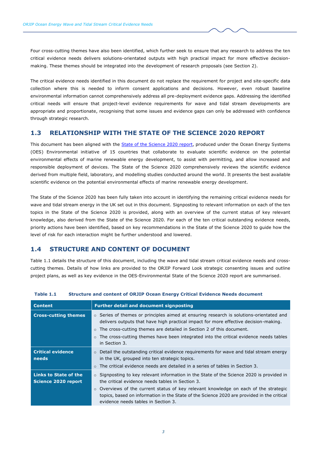Four cross-cutting themes have also been identified, which further seek to ensure that any research to address the ten critical evidence needs delivers solutions-orientated outputs with high practical impact for more effective decisionmaking. These themes should be integrated into the development of research proposals (see Section [2\)](#page-12-0).

The critical evidence needs identified in this document do not replace the requirement for project and site-specific data collection where this is needed to inform consent applications and decisions. However, even robust baseline environmental information cannot comprehensively address all pre-deployment evidence gaps. Addressing the identified critical needs will ensure that project-level evidence requirements for wave and tidal stream developments are appropriate and proportionate, recognising that some issues and evidence gaps can only be addressed with confidence through strategic research.

#### <span id="page-10-0"></span>**1.3 RELATIONSHIP WITH THE STATE OF THE SCIENCE 2020 REPORT**

This document has been aligned with the [State of the Science 2020](https://tethys.pnnl.gov/publications/state-of-the-science-2020) report, produced under the Ocean Energy Systems (OES) Environmental initiative of 15 countries that collaborate to evaluate scientific evidence on the potential environmental effects of marine renewable energy development, to assist with permitting, and allow increased and responsible deployment of devices. The State of the Science 2020 comprehensively reviews the scientific evidence derived from multiple field, laboratory, and modelling studies conducted around the world. It presents the best available scientific evidence on the potential environmental effects of marine renewable energy development.

The State of the Science 2020 has been fully taken into account in identifying the remaining critical evidence needs for wave and tidal stream energy in the UK set out in this document. Signposting to relevant information on each of the ten topics in the State of the Science 2020 is provided, along with an overview of the current status of key relevant knowledge, also derived from the State of the Science 2020. For each of the ten critical outstanding evidence needs, priority actions have been identified, based on key recommendations in the State of the Science 2020 to guide how the level of risk for each interaction might be further understood and lowered.

#### <span id="page-10-1"></span>**1.4 STRUCTURE AND CONTENT OF DOCUMENT**

[Table 1.1](#page-10-2) details the structure of this document, including the wave and tidal stream critical evidence needs and crosscutting themes. Details of how links are provided to the ORJIP Forward Look strategic consenting issues and outline project plans, as well as key evidence in the OES-Environmental State of the Science 2020 report are summarised.

| <b>Content</b>                               | <b>Further detail and document signposting</b>                                                                                                                                                                                                                                                                                                                                             |
|----------------------------------------------|--------------------------------------------------------------------------------------------------------------------------------------------------------------------------------------------------------------------------------------------------------------------------------------------------------------------------------------------------------------------------------------------|
| <b>Cross-cutting themes</b>                  | $\circ$ Series of themes or principles aimed at ensuring research is solutions-orientated and<br>delivers outputs that have high practical impact for more effective decision-making.<br>$\circ$ The cross-cutting themes are detailed in Section 2 of this document.<br>The cross-cutting themes have been integrated into the critical evidence needs tables<br>$\circ$<br>in Section 3. |
| <b>Critical evidence</b><br>needs            | $\circ$ Detail the outstanding critical evidence requirements for wave and tidal stream energy<br>in the UK, grouped into ten strategic topics.<br>$\circ$ The critical evidence needs are detailed in a series of tables in Section 3.                                                                                                                                                    |
| Links to State of the<br>Science 2020 report | $\circ$ Signposting to key relevant information in the State of the Science 2020 is provided in<br>the critical evidence needs tables in Section 3.<br>$\circ$ Overviews of the current status of key relevant knowledge on each of the strategic<br>topics, based on information in the State of the Science 2020 are provided in the critical<br>evidence needs tables in Section 3.     |

#### <span id="page-10-2"></span>**Table 1.1 Structure and content of ORJIP Ocean Energy Critical Evidence Needs document**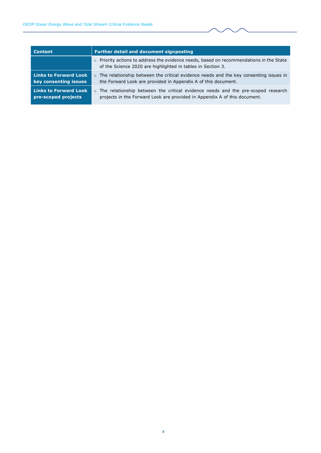| <b>Content</b>                                        | <b>Further detail and document signposting</b>                                                                                                                           |  |
|-------------------------------------------------------|--------------------------------------------------------------------------------------------------------------------------------------------------------------------------|--|
|                                                       | $\circ$ Priority actions to address the evidence needs, based on recommendations in the State<br>of the Science 2020 are highlighted in tables in Section 3.             |  |
| <b>Links to Forward Look</b><br>key consenting issues | The relationship between the critical evidence needs and the key consenting issues in<br>$\circ$<br>the Forward Look are provided in Appendix A of this document.        |  |
| <b>Links to Forward Look</b><br>pre-scoped projects   | The relationship between the critical evidence needs and the pre-scoped research<br>$\circ$<br>projects in the Forward Look are provided in Appendix A of this document. |  |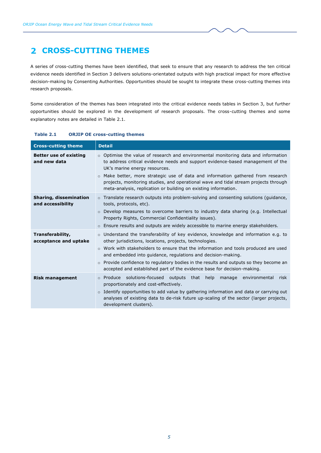# <span id="page-12-0"></span>**CROSS-CUTTING THEMES**

A series of cross-cutting themes have been identified, that seek to ensure that any research to address the ten critical evidence needs identified in Section [3](#page-13-0) delivers solutions-orientated outputs with high practical impact for more effective decision-making by Consenting Authorities. Opportunities should be sought to integrate these cross-cutting themes into research proposals.

Some consideration of the themes has been integrated into the critical evidence needs tables in Section [3,](#page-13-0) but further opportunities should be explored in the development of research proposals. The cross-cutting themes and some explanatory notes are detailed in [Table 2.1.](#page-12-1)

| <b>Cross-cutting theme</b>                    | <b>Detail</b>                                                                                                                                                                                                                                                                                                                                                                                                                                                                                   |
|-----------------------------------------------|-------------------------------------------------------------------------------------------------------------------------------------------------------------------------------------------------------------------------------------------------------------------------------------------------------------------------------------------------------------------------------------------------------------------------------------------------------------------------------------------------|
| <b>Better use of existing</b><br>and new data | $\circ$ Optimise the value of research and environmental monitoring data and information<br>to address critical evidence needs and support evidence-based management of the<br>UK's marine energy resources.<br>Make better, more strategic use of data and information gathered from research<br>$\circ$<br>projects, monitoring studies, and operational wave and tidal stream projects through<br>meta-analysis, replication or building on existing information.                            |
| Sharing, dissemination<br>and accessibility   | $\circ$ Translate research outputs into problem-solving and consenting solutions (quidance,<br>tools, protocols, etc).<br>Develop measures to overcome barriers to industry data sharing (e.g. Intellectual<br>$\circ$<br>Property Rights, Commercial Confidentiality issues).<br>$\circ$ Ensure results and outputs are widely accessible to marine energy stakeholders.                                                                                                                       |
| Transferability,<br>acceptance and uptake     | $\circ$ Understand the transferability of key evidence, knowledge and information e.g. to<br>other jurisdictions, locations, projects, technologies.<br>$\circ$ Work with stakeholders to ensure that the information and tools produced are used<br>and embedded into quidance, regulations and decision-making.<br>Provide confidence to regulatory bodies in the results and outputs so they become an<br>$\circ$<br>accepted and established part of the evidence base for decision-making. |
| <b>Risk management</b>                        | o Produce solutions-focused outputs<br>that help<br>manage environmental<br>risk<br>proportionately and cost-effectively.<br>$\circ$ Identify opportunities to add value by gathering information and data or carrying out<br>analyses of existing data to de-risk future up-scaling of the sector (larger projects,<br>development clusters).                                                                                                                                                  |

#### <span id="page-12-1"></span>**Table 2.1 ORJIP OE cross-cutting themes**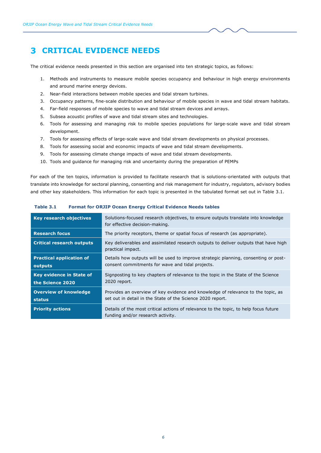## <span id="page-13-0"></span>**CRITICAL EVIDENCE NEEDS**

The critical evidence needs presented in this section are organised into ten strategic topics, as follows:

- 1. Methods and instruments to measure mobile species occupancy and behaviour in high energy environments and around marine energy devices.
- 2. Near-field interactions between mobile species and tidal stream turbines.
- 3. Occupancy patterns, fine-scale distribution and behaviour of mobile species in wave and tidal stream habitats.
- 4. Far-field responses of mobile species to wave and tidal stream devices and arrays.
- 5. Subsea acoustic profiles of wave and tidal stream sites and technologies.
- 6. Tools for assessing and managing risk to mobile species populations for large-scale wave and tidal stream development.
- 7. Tools for assessing effects of large-scale wave and tidal stream developments on physical processes.
- 8. Tools for assessing social and economic impacts of wave and tidal stream developments.
- 9. Tools for assessing climate change impacts of wave and tidal stream developments.
- 10. Tools and guidance for managing risk and uncertainty during the preparation of PEMPs

For each of the ten topics, information is provided to facilitate research that is solutions-orientated with outputs that translate into knowledge for sectoral planning, consenting and risk management for industry, regulators, advisory bodies and other key stakeholders. This information for each topic is presented in the tabulated format set out in [Table 3.1.](#page-13-1)

| Key research objectives                             | Solutions-focused research objectives, to ensure outputs translate into knowledge<br>for effective decision-making.                            |
|-----------------------------------------------------|------------------------------------------------------------------------------------------------------------------------------------------------|
| <b>Research focus</b>                               | The priority receptors, theme or spatial focus of research (as appropriate).                                                                   |
| <b>Critical research outputs</b>                    | Key deliverables and assimilated research outputs to deliver outputs that have high<br>practical impact.                                       |
| <b>Practical application of</b><br>outputs          | Details how outputs will be used to improve strategic planning, consenting or post-<br>consent commitments for wave and tidal projects.        |
| <b>Key evidence in State of</b><br>the Science 2020 | Signposting to key chapters of relevance to the topic in the State of the Science<br>2020 report.                                              |
| <b>Overview of knowledge</b><br>status              | Provides an overview of key evidence and knowledge of relevance to the topic, as<br>set out in detail in the State of the Science 2020 report. |
| <b>Priority actions</b>                             | Details of the most critical actions of relevance to the topic, to help focus future<br>funding and/or research activity.                      |

<span id="page-13-1"></span>**Table 3.1 Format for ORJIP Ocean Energy Critical Evidence Needs tables**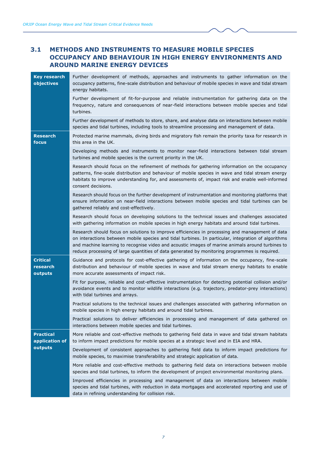## <span id="page-14-0"></span>**3.1 METHODS AND INSTRUMENTS TO MEASURE MOBILE SPECIES OCCUPANCY AND BEHAVIOUR IN HIGH ENERGY ENVIRONMENTS AND AROUND MARINE ENERGY DEVICES**

| <b>Key research</b><br>objectives             | Further development of methods, approaches and instruments to gather information on the<br>occupancy patterns, fine-scale distribution and behaviour of mobile species in wave and tidal stream<br>energy habitats.                                                                                                                                                                                         |
|-----------------------------------------------|-------------------------------------------------------------------------------------------------------------------------------------------------------------------------------------------------------------------------------------------------------------------------------------------------------------------------------------------------------------------------------------------------------------|
|                                               | Further development of fit-for-purpose and reliable instrumentation for gathering data on the<br>frequency, nature and consequences of near-field interactions between mobile species and tidal<br>turbines.                                                                                                                                                                                                |
|                                               | Further development of methods to store, share, and analyse data on interactions between mobile<br>species and tidal turbines, including tools to streamline processing and management of data.                                                                                                                                                                                                             |
| <b>Research</b><br>focus                      | Protected marine mammals, diving birds and migratory fish remain the priority taxa for research in<br>this area in the UK.                                                                                                                                                                                                                                                                                  |
|                                               | Developing methods and instruments to monitor near-field interactions between tidal stream<br>turbines and mobile species is the current priority in the UK.                                                                                                                                                                                                                                                |
|                                               | Research should focus on the refinement of methods for gathering information on the occupancy<br>patterns, fine-scale distribution and behaviour of mobile species in wave and tidal stream energy<br>habitats to improve understanding for, and assessments of, impact risk and enable well-informed<br>consent decisions.                                                                                 |
|                                               | Research should focus on the further development of instrumentation and monitoring platforms that<br>ensure information on near-field interactions between mobile species and tidal turbines can be<br>gathered reliably and cost-effectively.                                                                                                                                                              |
|                                               | Research should focus on developing solutions to the technical issues and challenges associated<br>with gathering information on mobile species in high energy habitats and around tidal turbines.                                                                                                                                                                                                          |
|                                               | Research should focus on solutions to improve efficiencies in processing and management of data<br>on interactions between mobile species and tidal turbines. In particular, integration of algorithms<br>and machine learning to recognise video and acoustic images of marine animals around turbines to<br>reduce processing of large quantities of data generated by monitoring programmes is required. |
| <b>Critical</b><br>research<br>outputs        | Guidance and protocols for cost-effective gathering of information on the occupancy, fine-scale<br>distribution and behaviour of mobile species in wave and tidal stream energy habitats to enable<br>more accurate assessments of impact risk.                                                                                                                                                             |
|                                               | Fit for purpose, reliable and cost-effective instrumentation for detecting potential collision and/or<br>avoidance events and to monitor wildlife interactions (e.g. trajectory, predator-prey interactions)<br>with tidal turbines and arrays.                                                                                                                                                             |
|                                               | Practical solutions to the technical issues and challenges associated with gathering information on<br>mobile species in high energy habitats and around tidal turbines.                                                                                                                                                                                                                                    |
|                                               | Practical solutions to deliver efficiencies in processing and management of data gathered on<br>interactions between mobile species and tidal turbines.                                                                                                                                                                                                                                                     |
| <b>Practical</b><br>application of<br>outputs | More reliable and cost-effective methods to gathering field data in wave and tidal stream habitats<br>to inform impact predictions for mobile species at a strategic level and in EIA and HRA.                                                                                                                                                                                                              |
|                                               | Development of consistent approaches to gathering field data to inform impact predictions for<br>mobile species, to maximise transferability and strategic application of data.                                                                                                                                                                                                                             |
|                                               | More reliable and cost-effective methods to gathering field data on interactions between mobile<br>species and tidal turbines, to inform the development of project environmental monitoring plans.                                                                                                                                                                                                         |
|                                               | Improved efficiencies in processing and management of data on interactions between mobile<br>species and tidal turbines, with reduction in data mortgages and accelerated reporting and use of<br>data in refining understanding for collision risk.                                                                                                                                                        |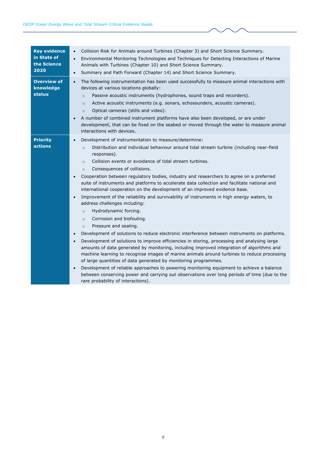| Collision Risk for Animals around Turbines (Chapter 3) and Short Science Summary.<br>$\bullet$<br>Environmental Monitoring Technologies and Techniques for Detecting Interactions of Marine<br>$\bullet$<br>Animals with Turbines (Chapter 10) and Short Science Summary.<br>Summary and Path Forward (Chapter 14) and Short Science Summary.<br>$\bullet$                                                                                                                                                                                                                                                                                                                                                                                                                                                                                                                                                                                                                                                                                                                                                                                                                                                                                                                                                                                                                                                                                                                                                                                                                                     |
|------------------------------------------------------------------------------------------------------------------------------------------------------------------------------------------------------------------------------------------------------------------------------------------------------------------------------------------------------------------------------------------------------------------------------------------------------------------------------------------------------------------------------------------------------------------------------------------------------------------------------------------------------------------------------------------------------------------------------------------------------------------------------------------------------------------------------------------------------------------------------------------------------------------------------------------------------------------------------------------------------------------------------------------------------------------------------------------------------------------------------------------------------------------------------------------------------------------------------------------------------------------------------------------------------------------------------------------------------------------------------------------------------------------------------------------------------------------------------------------------------------------------------------------------------------------------------------------------|
| The following instrumentation has been used successfully to measure animal interactions with<br>$\bullet$<br>devices at various locations globally:<br>Passive acoustic instruments (hydrophones, sound traps and recorders).<br>$\circ$<br>Active acoustic instruments (e.g. sonars, echosounders, acoustic cameras).<br>$\circ$<br>Optical cameras (stills and video).<br>$\circ$<br>A number of combined instrument platforms have also been developed, or are under<br>development, that can be fixed on the seabed or moved through the water to measure animal<br>interactions with devices.                                                                                                                                                                                                                                                                                                                                                                                                                                                                                                                                                                                                                                                                                                                                                                                                                                                                                                                                                                                             |
| Development of instrumentation to measure/determine:<br>$\bullet$<br>Distribution and individual behaviour around tidal stream turbine (including near-field<br>$\circ$<br>responses).<br>Collision events or avoidance of tidal stream turbines.<br>$\circ$<br>Consequences of collisions.<br>$\circ$<br>Cooperation between regulatory bodies, industry and researchers to agree on a preferred<br>$\bullet$<br>suite of instruments and platforms to accelerate data collection and facilitate national and<br>international cooperation on the development of an improved evidence base.<br>Improvement of the reliability and survivability of instruments in high energy waters, to<br>$\bullet$<br>address challenges including:<br>Hydrodynamic forcing.<br>$\circ$<br>Corrosion and biofouling.<br>$\circ$<br>Pressure and sealing.<br>$\circ$<br>Development of solutions to reduce electronic interference between instruments on platforms.<br>$\bullet$<br>Development of solutions to improve efficiencies in storing, processing and analysing large<br>$\bullet$<br>amounts of data generated by monitoring, including improved integration of algorithms and<br>machine learning to recognise images of marine animals around turbines to reduce processing<br>of large quantities of data generated by monitoring programmes.<br>Development of reliable approaches to powering monitoring equipment to achieve a balance<br>$\bullet$<br>between conserving power and carrying out observations over long periods of time (due to the<br>rare probability of interactions). |
|                                                                                                                                                                                                                                                                                                                                                                                                                                                                                                                                                                                                                                                                                                                                                                                                                                                                                                                                                                                                                                                                                                                                                                                                                                                                                                                                                                                                                                                                                                                                                                                                |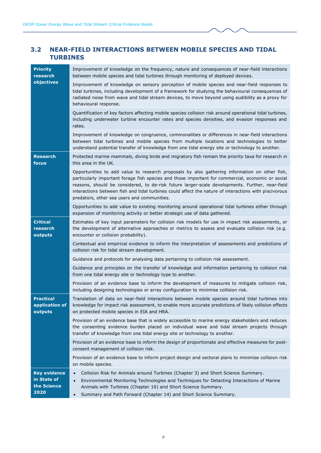## <span id="page-16-0"></span>**3.2 NEAR-FIELD INTERACTIONS BETWEEN MOBILE SPECIES AND TIDAL TURBINES**

| <b>Priority</b><br>research<br>objectives                 | Improvement of knowledge on the frequency, nature and consequences of near-field interactions<br>between mobile species and tidal turbines through monitoring of deployed devices.                                                                                                                                                                                                                                                                            |
|-----------------------------------------------------------|---------------------------------------------------------------------------------------------------------------------------------------------------------------------------------------------------------------------------------------------------------------------------------------------------------------------------------------------------------------------------------------------------------------------------------------------------------------|
|                                                           | Improvement of knowledge on sensory perception of mobile species and near-field responses to<br>tidal turbines, including development of a framework for studying the behavioural consequences of<br>radiated noise from wave and tidal stream devices, to move beyond using audibility as a proxy for<br>behavioural response.                                                                                                                               |
|                                                           | Quantification of key factors affecting mobile species collision risk around operational tidal turbines,<br>including underwater turbine encounter rates and species densities, and evasion responses and<br>rates.                                                                                                                                                                                                                                           |
|                                                           | Improvement of knowledge on congruence, commonalities or differences in near-field interactions<br>between tidal turbines and mobile species from multiple locations and technologies to better<br>understand potential transfer of knowledge from one tidal energy site or technology to another.                                                                                                                                                            |
| <b>Research</b><br>focus                                  | Protected marine mammals, diving birds and migratory fish remain the priority taxa for research in<br>this area in the UK.                                                                                                                                                                                                                                                                                                                                    |
|                                                           | Opportunities to add value to research proposals by also gathering information on other fish,<br>particularly important forage fish species and those important for commercial, economic or social<br>reasons, should be considered, to de-risk future larger-scale developments. Further, near-field<br>interactions between fish and tidal turbines could affect the nature of interactions with piscivorous<br>predators, other sea users and communities. |
|                                                           | Opportunities to add value to existing monitoring around operational tidal turbines either through<br>expansion of monitoring activity or better strategic use of data gathered.                                                                                                                                                                                                                                                                              |
| <b>Critical</b><br>research<br>outputs                    | Estimates of key input parameters for collision risk models for use in impact risk assessments, or<br>the development of alternative approaches or metrics to assess and evaluate collision risk (e.g.<br>encounter or collision probability).                                                                                                                                                                                                                |
|                                                           | Contextual and empirical evidence to inform the interpretation of assessments and predictions of<br>collision risk for tidal stream development.                                                                                                                                                                                                                                                                                                              |
|                                                           | Guidance and protocols for analysing data pertaining to collision risk assessment.                                                                                                                                                                                                                                                                                                                                                                            |
|                                                           | Guidance and principles on the transfer of knowledge and information pertaining to collision risk<br>from one tidal energy site or technology type to another.                                                                                                                                                                                                                                                                                                |
|                                                           | Provision of an evidence base to inform the development of measures to mitigate collision risk,<br>including designing technologies or array configuration to minimise collision risk.                                                                                                                                                                                                                                                                        |
| <b>Practical</b><br>application of<br>outputs             | Translation of data on near-field interactions between mobile species around tidal turbines into<br>knowledge for impact risk assessment, to enable more accurate predictions of likely collision effects<br>on protected mobile species in EIA and HRA.                                                                                                                                                                                                      |
|                                                           | Provision of an evidence base that is widely accessible to marine energy stakeholders and reduces<br>the consenting evidence burden placed on individual wave and tidal stream projects through<br>transfer of knowledge from one tidal energy site or technology to another.                                                                                                                                                                                 |
|                                                           | Provision of an evidence base to inform the design of proportionate and effective measures for post-<br>consent management of collision risk.                                                                                                                                                                                                                                                                                                                 |
|                                                           | Provision of an evidence base to inform project design and sectoral plans to minimise collision risk<br>on mobile species.                                                                                                                                                                                                                                                                                                                                    |
| <b>Key evidence</b><br>in State of<br>the Science<br>2020 | Collision Risk for Animals around Turbines (Chapter 3) and Short Science Summary.<br>$\bullet$<br>Environmental Monitoring Technologies and Techniques for Detecting Interactions of Marine<br>$\bullet$<br>Animals with Turbines (Chapter 10) and Short Science Summary.<br>Summary and Path Forward (Chapter 14) and Short Science Summary.<br>$\bullet$                                                                                                    |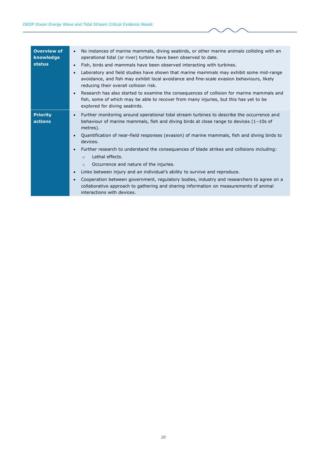| <b>Overview of</b><br>knowledge<br><b>status</b> | No instances of marine mammals, diving seabirds, or other marine animals colliding with an<br>$\bullet$<br>operational tidal (or river) turbine have been observed to date.<br>Fish, birds and mammals have been observed interacting with turbines.<br>$\bullet$<br>Laboratory and field studies have shown that marine mammals may exhibit some mid-range<br>avoidance, and fish may exhibit local avoidance and fine-scale evasion behaviours, likely<br>reducing their overall collision risk.<br>Research has also started to examine the consequences of collision for marine mammals and<br>fish, some of which may be able to recover from many injuries, but this has yet to be<br>explored for diving seabirds.                                                                                                                 |
|--------------------------------------------------|-------------------------------------------------------------------------------------------------------------------------------------------------------------------------------------------------------------------------------------------------------------------------------------------------------------------------------------------------------------------------------------------------------------------------------------------------------------------------------------------------------------------------------------------------------------------------------------------------------------------------------------------------------------------------------------------------------------------------------------------------------------------------------------------------------------------------------------------|
| <b>Priority</b><br>actions                       | Further monitoring around operational tidal stream turbines to describe the occurrence and<br>$\bullet$<br>behaviour of marine mammals, fish and diving birds at close range to devices $(1-10s)$ of<br>metres).<br>Quantification of near-field responses (evasion) of marine mammals, fish and diving birds to<br>$\bullet$<br>devices.<br>Further research to understand the consequences of blade strikes and collisions including:<br>Lethal effects.<br>$\circ$<br>Occurrence and nature of the injuries.<br>$\circ$<br>Links between injury and an individual's ability to survive and reproduce.<br>$\bullet$<br>Cooperation between government, regulatory bodies, industry and researchers to agree on a<br>collaborative approach to gathering and sharing information on measurements of animal<br>interactions with devices. |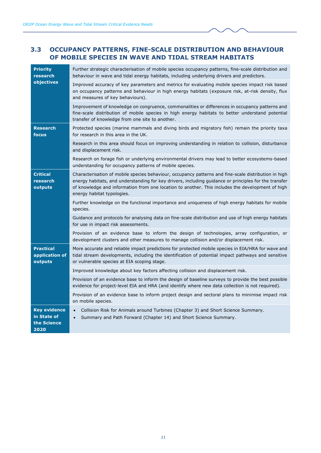## <span id="page-18-0"></span>**3.3 OCCUPANCY PATTERNS, FINE-SCALE DISTRIBUTION AND BEHAVIOUR OF MOBILE SPECIES IN WAVE AND TIDAL STREAM HABITATS**

| <b>Priority</b><br>research                               | Further strategic characterisation of mobile species occupancy patterns, fine-scale distribution and<br>behaviour in wave and tidal energy habitats, including underlying drivers and predictors.                                                                                                                                               |
|-----------------------------------------------------------|-------------------------------------------------------------------------------------------------------------------------------------------------------------------------------------------------------------------------------------------------------------------------------------------------------------------------------------------------|
| objectives                                                | Improved accuracy of key parameters and metrics for evaluating mobile species impact risk based<br>on occupancy patterns and behaviour in high energy habitats (exposure risk, at-risk density, flux<br>and measures of key behaviours).                                                                                                        |
|                                                           | Improvement of knowledge on congruence, commonalities or differences in occupancy patterns and<br>fine-scale distribution of mobile species in high energy habitats to better understand potential<br>transfer of knowledge from one site to another.                                                                                           |
| <b>Research</b><br>focus                                  | Protected species (marine mammals and diving birds and migratory fish) remain the priority taxa<br>for research in this area in the UK.                                                                                                                                                                                                         |
|                                                           | Research in this area should focus on improving understanding in relation to collision, disturbance<br>and displacement risk.                                                                                                                                                                                                                   |
|                                                           | Research on forage fish or underlying environmental drivers may lead to better ecosystems-based<br>understanding for occupancy patterns of mobile species.                                                                                                                                                                                      |
| <b>Critical</b><br>research<br>outputs                    | Characterisation of mobile species behaviour, occupancy patterns and fine-scale distribution in high<br>energy habitats, and understanding for key drivers, including guidance or principles for the transfer<br>of knowledge and information from one location to another. This includes the development of high<br>energy habitat typologies. |
|                                                           | Further knowledge on the functional importance and uniqueness of high energy habitats for mobile<br>species.                                                                                                                                                                                                                                    |
|                                                           | Guidance and protocols for analysing data on fine-scale distribution and use of high energy habitats<br>for use in impact risk assessments.                                                                                                                                                                                                     |
|                                                           | Provision of an evidence base to inform the design of technologies, array configuration, or<br>development clusters and other measures to manage collision and/or displacement risk.                                                                                                                                                            |
| <b>Practical</b><br>application of<br>outputs             | More accurate and reliable impact predictions for protected mobile species in EIA/HRA for wave and<br>tidal stream developments, including the identification of potential impact pathways and sensitive<br>or vulnerable species at EIA scoping stage.                                                                                         |
|                                                           | Improved knowledge about key factors affecting collision and displacement risk.                                                                                                                                                                                                                                                                 |
|                                                           | Provision of an evidence base to inform the design of baseline surveys to provide the best possible<br>evidence for project-level EIA and HRA (and identify where new data collection is not required).                                                                                                                                         |
|                                                           | Provision of an evidence base to inform project design and sectoral plans to minimise impact risk<br>on mobile species.                                                                                                                                                                                                                         |
| <b>Key evidence</b><br>in State of<br>the Science<br>2020 | Collision Risk for Animals around Turbines (Chapter 3) and Short Science Summary.<br>$\bullet$<br>Summary and Path Forward (Chapter 14) and Short Science Summary.<br>$\bullet$                                                                                                                                                                 |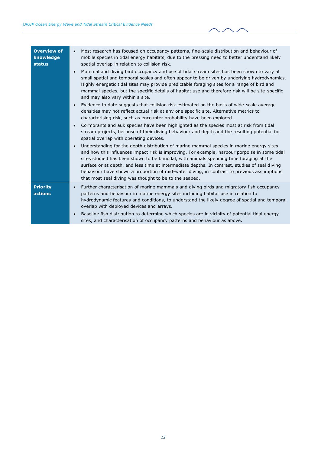| <b>Overview of</b><br>knowledge<br><b>status</b> | Most research has focused on occupancy patterns, fine-scale distribution and behaviour of<br>mobile species in tidal energy habitats, due to the pressing need to better understand likely<br>spatial overlap in relation to collision risk.<br>Mammal and diving bird occupancy and use of tidal stream sites has been shown to vary at<br>$\bullet$<br>small spatial and temporal scales and often appear to be driven by underlying hydrodynamics.<br>Highly energetic tidal sites may provide predictable foraging sites for a range of bird and<br>mammal species, but the specific details of habitat use and therefore risk will be site-specific<br>and may also vary within a site.<br>Evidence to date suggests that collision risk estimated on the basis of wide-scale average<br>$\bullet$<br>densities may not reflect actual risk at any one specific site. Alternative metrics to<br>characterising risk, such as encounter probability have been explored.<br>Cormorants and auk species have been highlighted as the species most at risk from tidal<br>$\bullet$<br>stream projects, because of their diving behaviour and depth and the resulting potential for<br>spatial overlap with operating devices.<br>Understanding for the depth distribution of marine mammal species in marine energy sites<br>and how this influences impact risk is improving. For example, harbour porpoise in some tidal<br>sites studied has been shown to be bimodal, with animals spending time foraging at the<br>surface or at depth, and less time at intermediate depths. In contrast, studies of seal diving |
|--------------------------------------------------|-------------------------------------------------------------------------------------------------------------------------------------------------------------------------------------------------------------------------------------------------------------------------------------------------------------------------------------------------------------------------------------------------------------------------------------------------------------------------------------------------------------------------------------------------------------------------------------------------------------------------------------------------------------------------------------------------------------------------------------------------------------------------------------------------------------------------------------------------------------------------------------------------------------------------------------------------------------------------------------------------------------------------------------------------------------------------------------------------------------------------------------------------------------------------------------------------------------------------------------------------------------------------------------------------------------------------------------------------------------------------------------------------------------------------------------------------------------------------------------------------------------------------------------------------------------------------------------------------------------------------|
|                                                  | behaviour have shown a proportion of mid-water diving, in contrast to previous assumptions<br>that most seal diving was thought to be to the seabed.                                                                                                                                                                                                                                                                                                                                                                                                                                                                                                                                                                                                                                                                                                                                                                                                                                                                                                                                                                                                                                                                                                                                                                                                                                                                                                                                                                                                                                                                    |
| <b>Priority</b><br>actions                       | Further characterisation of marine mammals and diving birds and migratory fish occupancy<br>$\bullet$<br>patterns and behaviour in marine energy sites including habitat use in relation to<br>hydrodynamic features and conditions, to understand the likely degree of spatial and temporal<br>overlap with deployed devices and arrays.<br>Baseline fish distribution to determine which species are in vicinity of potential tidal energy<br>sites, and characterisation of occupancy patterns and behaviour as above.                                                                                                                                                                                                                                                                                                                                                                                                                                                                                                                                                                                                                                                                                                                                                                                                                                                                                                                                                                                                                                                                                               |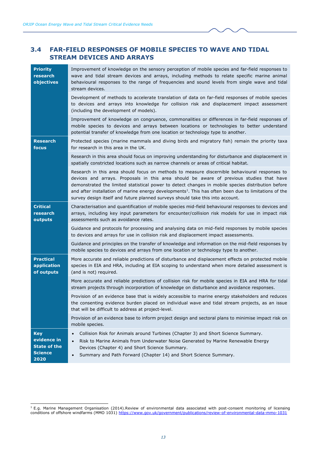## <span id="page-20-0"></span>**3.4 FAR-FIELD RESPONSES OF MOBILE SPECIES TO WAVE AND TIDAL STREAM DEVICES AND ARRAYS**

| <b>Priority</b><br>research<br>objectives                                  | Improvement of knowledge on the sensory perception of mobile species and far-field responses to<br>wave and tidal stream devices and arrays, including methods to relate specific marine animal<br>behavioural responses to the range of frequencies and sound levels from single wave and tidal<br>stream devices.                                                                                                                                                                                    |
|----------------------------------------------------------------------------|--------------------------------------------------------------------------------------------------------------------------------------------------------------------------------------------------------------------------------------------------------------------------------------------------------------------------------------------------------------------------------------------------------------------------------------------------------------------------------------------------------|
|                                                                            | Development of methods to accelerate translation of data on far-field responses of mobile species<br>to devices and arrays into knowledge for collision risk and displacement impact assessment<br>(including the development of models).                                                                                                                                                                                                                                                              |
|                                                                            | Improvement of knowledge on congruence, commonalities or differences in far-field responses of<br>mobile species to devices and arrays between locations or technologies to better understand<br>potential transfer of knowledge from one location or technology type to another.                                                                                                                                                                                                                      |
| <b>Research</b><br>focus                                                   | Protected species (marine mammals and diving birds and migratory fish) remain the priority taxa<br>for research in this area in the UK.                                                                                                                                                                                                                                                                                                                                                                |
|                                                                            | Research in this area should focus on improving understanding for disturbance and displacement in<br>spatially constricted locations such as narrow channels or areas of critical habitat.                                                                                                                                                                                                                                                                                                             |
|                                                                            | Research in this area should focus on methods to measure discernible behavioural responses to<br>devices and arrays. Proposals in this area should be aware of previous studies that have<br>demonstrated the limited statistical power to detect changes in mobile species distribution before<br>and after installation of marine energy developments <sup>1</sup> . This has often been due to limitations of the<br>survey design itself and future planned surveys should take this into account. |
| <b>Critical</b><br>research<br>outputs                                     | Characterisation and quantification of mobile species mid-field behavioural responses to devices and<br>arrays, including key input parameters for encounter/collision risk models for use in impact risk<br>assessments such as avoidance rates.                                                                                                                                                                                                                                                      |
|                                                                            | Guidance and protocols for processing and analysing data on mid-field responses by mobile species<br>to devices and arrays for use in collision risk and displacement impact assessments.                                                                                                                                                                                                                                                                                                              |
|                                                                            | Guidance and principles on the transfer of knowledge and information on the mid-field responses by<br>mobile species to devices and arrays from one location or technology type to another.                                                                                                                                                                                                                                                                                                            |
| <b>Practical</b><br>application<br>of outputs                              | More accurate and reliable predictions of disturbance and displacement effects on protected mobile<br>species in EIA and HRA, including at EIA scoping to understand when more detailed assessment is<br>(and is not) required.                                                                                                                                                                                                                                                                        |
|                                                                            | More accurate and reliable predictions of collision risk for mobile species in EIA and HRA for tidal<br>stream projects through incorporation of knowledge on disturbance and avoidance responses.                                                                                                                                                                                                                                                                                                     |
|                                                                            | Provision of an evidence base that is widely accessible to marine energy stakeholders and reduces<br>the consenting evidence burden placed on individual wave and tidal stream projects, as an issue<br>that will be difficult to address at project-level.                                                                                                                                                                                                                                            |
|                                                                            | Provision of an evidence base to inform project design and sectoral plans to minimise impact risk on<br>mobile species.                                                                                                                                                                                                                                                                                                                                                                                |
| <b>Key</b><br>evidence in<br><b>State of the</b><br><b>Science</b><br>2020 | Collision Risk for Animals around Turbines (Chapter 3) and Short Science Summary.<br>$\bullet$<br>Risk to Marine Animals from Underwater Noise Generated by Marine Renewable Energy<br>Devices (Chapter 4) and Short Science Summary.<br>Summary and Path Forward (Chapter 14) and Short Science Summary.                                                                                                                                                                                              |

 $<sup>1</sup>$  E.g. Marine Management Organisation (2014).Review of environmental data associated with post-consent monitoring of licensing</sup> conditions of offshore windfarms (MMO 1031)<https://www.gov.uk/government/publications/review-of-environmental-data-mmo-1031>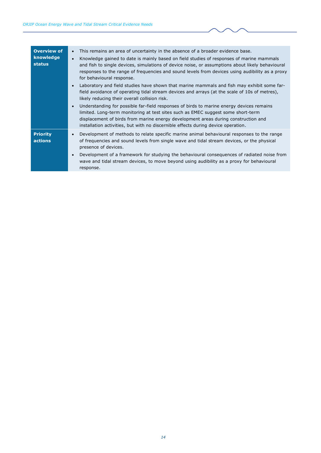| <b>Overview of</b><br>knowledge<br>status | This remains an area of uncertainty in the absence of a broader evidence base.<br>$\bullet$<br>Knowledge gained to date is mainly based on field studies of responses of marine mammals<br>$\bullet$<br>and fish to single devices, simulations of device noise, or assumptions about likely behavioural<br>responses to the range of frequencies and sound levels from devices using audibility as a proxy<br>for behavioural response.<br>Laboratory and field studies have shown that marine mammals and fish may exhibit some far-<br>field avoidance of operating tidal stream devices and arrays (at the scale of 10s of metres),<br>likely reducing their overall collision risk.<br>Understanding for possible far-field responses of birds to marine energy devices remains<br>$\bullet$<br>limited. Long-term monitoring at test sites such as EMEC suggest some short-term<br>displacement of birds from marine energy development areas during construction and<br>installation activities, but with no discernible effects during device operation. |
|-------------------------------------------|------------------------------------------------------------------------------------------------------------------------------------------------------------------------------------------------------------------------------------------------------------------------------------------------------------------------------------------------------------------------------------------------------------------------------------------------------------------------------------------------------------------------------------------------------------------------------------------------------------------------------------------------------------------------------------------------------------------------------------------------------------------------------------------------------------------------------------------------------------------------------------------------------------------------------------------------------------------------------------------------------------------------------------------------------------------|
| <b>Priority</b><br>actions                | Development of methods to relate specific marine animal behavioural responses to the range<br>of frequencies and sound levels from single wave and tidal stream devices, or the physical<br>presence of devices.<br>Development of a framework for studying the behavioural consequences of radiated noise from<br>wave and tidal stream devices, to move beyond using audibility as a proxy for behavioural<br>response.                                                                                                                                                                                                                                                                                                                                                                                                                                                                                                                                                                                                                                        |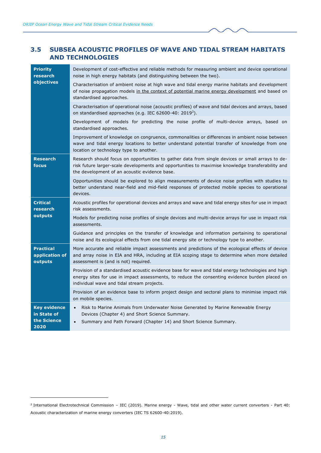## <span id="page-22-0"></span>**3.5 SUBSEA ACOUSTIC PROFILES OF WAVE AND TIDAL STREAM HABITATS AND TECHNOLOGIES**

| <b>Priority</b><br>research<br>objectives                 | Development of cost-effective and reliable methods for measuring ambient and device operational<br>noise in high energy habitats (and distinguishing between the two).                                                                                 |
|-----------------------------------------------------------|--------------------------------------------------------------------------------------------------------------------------------------------------------------------------------------------------------------------------------------------------------|
|                                                           | Characterisation of ambient noise at high wave and tidal energy marine habitats and development<br>of noise propagation models in the context of potential marine energy development and based on<br>standardised approaches.                          |
|                                                           | Characterisation of operational noise (acoustic profiles) of wave and tidal devices and arrays, based<br>on standardised approaches (e.g. IEC 62600-40: 2019 <sup>2</sup> ).                                                                           |
|                                                           | Development of models for predicting the noise profile of multi-device arrays, based on<br>standardised approaches.                                                                                                                                    |
|                                                           | Improvement of knowledge on congruence, commonalities or differences in ambient noise between<br>wave and tidal energy locations to better understand potential transfer of knowledge from one<br>location or technology type to another.              |
| <b>Research</b><br>focus                                  | Research should focus on opportunities to gather data from single devices or small arrays to de-<br>risk future larger-scale developments and opportunities to maximise knowledge transferability and<br>the development of an acoustic evidence base. |
|                                                           | Opportunities should be explored to align measurements of device noise profiles with studies to<br>better understand near-field and mid-field responses of protected mobile species to operational<br>devices.                                         |
| <b>Critical</b><br>research<br>outputs                    | Acoustic profiles for operational devices and arrays and wave and tidal energy sites for use in impact<br>risk assessments.                                                                                                                            |
|                                                           | Models for predicting noise profiles of single devices and multi-device arrays for use in impact risk<br>assessments.                                                                                                                                  |
|                                                           | Guidance and principles on the transfer of knowledge and information pertaining to operational<br>noise and its ecological effects from one tidal energy site or technology type to another.                                                           |
| <b>Practical</b><br>application of<br>outputs             | More accurate and reliable impact assessments and predictions of the ecological effects of device<br>and array noise in EIA and HRA, including at EIA scoping stage to determine when more detailed<br>assessment is (and is not) required.            |
|                                                           | Provision of a standardised acoustic evidence base for wave and tidal energy technologies and high<br>energy sites for use in impact assessments, to reduce the consenting evidence burden placed on<br>individual wave and tidal stream projects.     |
|                                                           | Provision of an evidence base to inform project design and sectoral plans to minimise impact risk<br>on mobile species.                                                                                                                                |
| <b>Key evidence</b><br>in State of<br>the Science<br>2020 | Risk to Marine Animals from Underwater Noise Generated by Marine Renewable Energy<br>$\bullet$<br>Devices (Chapter 4) and Short Science Summary.<br>Summary and Path Forward (Chapter 14) and Short Science Summary.<br>$\bullet$                      |
|                                                           |                                                                                                                                                                                                                                                        |

<sup>2</sup> International Electrotechnical Commission – IEC (2019). Marine energy - Wave, tidal and other water current converters - Part 40: Acoustic characterization of marine energy converters (IEC TS 62600-40:2019).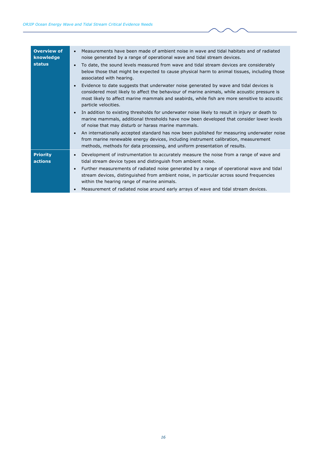| <b>Overview of</b><br>knowledge<br><b>status</b> | Measurements have been made of ambient noise in wave and tidal habitats and of radiated<br>noise generated by a range of operational wave and tidal stream devices.<br>To date, the sound levels measured from wave and tidal stream devices are considerably<br>below those that might be expected to cause physical harm to animal tissues, including those<br>associated with hearing.<br>Evidence to date suggests that underwater noise generated by wave and tidal devices is<br>considered most likely to affect the behaviour of marine animals, while acoustic pressure is<br>most likely to affect marine mammals and seabirds, while fish are more sensitive to acoustic<br>particle velocities.<br>In addition to existing thresholds for underwater noise likely to result in injury or death to<br>marine mammals, additional thresholds have now been developed that consider lower levels<br>of noise that may disturb or harass marine mammals.<br>An internationally accepted standard has now been published for measuring underwater noise<br>from marine renewable energy devices, including instrument calibration, measurement<br>methods, methods for data processing, and uniform presentation of results. |
|--------------------------------------------------|-------------------------------------------------------------------------------------------------------------------------------------------------------------------------------------------------------------------------------------------------------------------------------------------------------------------------------------------------------------------------------------------------------------------------------------------------------------------------------------------------------------------------------------------------------------------------------------------------------------------------------------------------------------------------------------------------------------------------------------------------------------------------------------------------------------------------------------------------------------------------------------------------------------------------------------------------------------------------------------------------------------------------------------------------------------------------------------------------------------------------------------------------------------------------------------------------------------------------------------|
| <b>Priority</b><br>actions                       | Development of instrumentation to accurately measure the noise from a range of wave and<br>tidal stream device types and distinguish from ambient noise.<br>Further measurements of radiated noise generated by a range of operational wave and tidal<br>stream devices, distinguished from ambient noise, in particular across sound frequencies<br>within the hearing range of marine animals.<br>Measurement of radiated noise around early arrays of wave and tidal stream devices.                                                                                                                                                                                                                                                                                                                                                                                                                                                                                                                                                                                                                                                                                                                                             |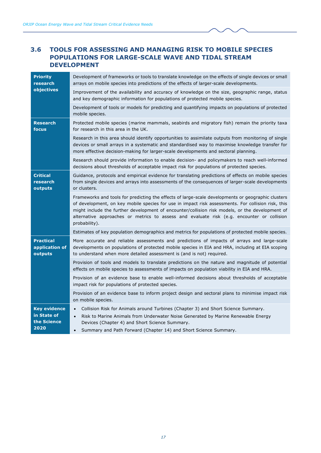## <span id="page-24-0"></span>**3.6 TOOLS FOR ASSESSING AND MANAGING RISK TO MOBILE SPECIES POPULATIONS FOR LARGE-SCALE WAVE AND TIDAL STREAM DEVELOPMENT**

| <b>Priority</b><br>research<br>objectives                 | Development of frameworks or tools to translate knowledge on the effects of single devices or small<br>arrays on mobile species into predictions of the effects of larger-scale developments.                                                                                                                                                                                                                              |
|-----------------------------------------------------------|----------------------------------------------------------------------------------------------------------------------------------------------------------------------------------------------------------------------------------------------------------------------------------------------------------------------------------------------------------------------------------------------------------------------------|
|                                                           | Improvement of the availability and accuracy of knowledge on the size, geographic range, status<br>and key demographic information for populations of protected mobile species.                                                                                                                                                                                                                                            |
|                                                           | Development of tools or models for predicting and quantifying impacts on populations of protected<br>mobile species.                                                                                                                                                                                                                                                                                                       |
| <b>Research</b><br>focus                                  | Protected mobile species (marine mammals, seabirds and migratory fish) remain the priority taxa<br>for research in this area in the UK.                                                                                                                                                                                                                                                                                    |
|                                                           | Research in this area should identify opportunities to assimilate outputs from monitoring of single<br>devices or small arrays in a systematic and standardised way to maximise knowledge transfer for<br>more effective decision-making for larger-scale developments and sectoral planning.                                                                                                                              |
|                                                           | Research should provide information to enable decision- and policymakers to reach well-informed<br>decisions about thresholds of acceptable impact risk for populations of protected species.                                                                                                                                                                                                                              |
| <b>Critical</b><br>research<br>outputs                    | Guidance, protocols and empirical evidence for translating predictions of effects on mobile species<br>from single devices and arrays into assessments of the consequences of larger-scale developments<br>or clusters.                                                                                                                                                                                                    |
|                                                           | Frameworks and tools for predicting the effects of large-scale developments or geographic clusters<br>of development, on key mobile species for use in impact risk assessments. For collision risk, this<br>might include the further development of encounter/collision risk models, or the development of<br>alternative approaches or metrics to assess and evaluate risk (e.g. encounter or collision<br>probability). |
|                                                           | Estimates of key population demographics and metrics for populations of protected mobile species.                                                                                                                                                                                                                                                                                                                          |
| <b>Practical</b><br>application of<br>outputs             | More accurate and reliable assessments and predictions of impacts of arrays and large-scale<br>developments on populations of protected mobile species in EIA and HRA, including at EIA scoping<br>to understand when more detailed assessment is (and is not) required.                                                                                                                                                   |
|                                                           | Provision of tools and models to translate predictions on the nature and magnitude of potential<br>effects on mobile species to assessments of impacts on population viability in EIA and HRA.                                                                                                                                                                                                                             |
|                                                           | Provision of an evidence base to enable well-informed decisions about thresholds of acceptable<br>impact risk for populations of protected species.                                                                                                                                                                                                                                                                        |
|                                                           | Provision of an evidence base to inform project design and sectoral plans to minimise impact risk<br>on mobile species.                                                                                                                                                                                                                                                                                                    |
| <b>Key evidence</b><br>in State of<br>the Science<br>2020 | Collision Risk for Animals around Turbines (Chapter 3) and Short Science Summary.<br>$\bullet$<br>Risk to Marine Animals from Underwater Noise Generated by Marine Renewable Energy<br>$\bullet$<br>Devices (Chapter 4) and Short Science Summary.<br>Summary and Path Forward (Chapter 14) and Short Science Summary.<br>$\bullet$                                                                                        |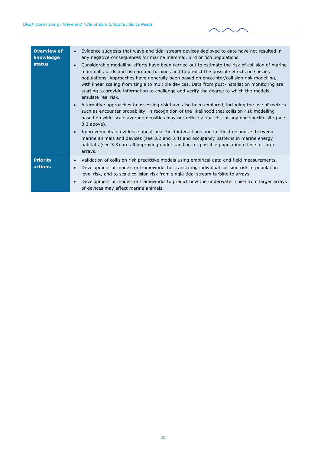| <b>Overview of</b><br>knowledge<br><b>status</b> | Evidence suggests that wave and tidal stream devices deployed to date have not resulted in<br>$\bullet$<br>any negative consequences for marine mammal, bird or fish populations.<br>Considerable modelling efforts have been carried out to estimate the risk of collision of marine<br>mammals, birds and fish around turbines and to predict the possible effects on species<br>populations. Approaches have generally been based on encounter/collision risk modelling,<br>with linear scaling from single to multiple devices. Data from post-installation monitoring are<br>starting to provide information to challenge and verify the degree to which the models<br>emulate real risk.<br>Alternative approaches to assessing risk have also been explored, including the use of metrics<br>such as encounter probability, in recognition of the likelihood that collision risk modelling<br>based on wide-scale average densities may not reflect actual risk at any one specific site (see<br>$3.3$ above).<br>Improvements in evidence about near-field interactions and far-field responses between<br>marine animals and devices (see 3.2 and 3.4) and occupancy patterns in marine energy<br>habitats (see 3.3) are all improving understanding for possible population effects of larger |
|--------------------------------------------------|---------------------------------------------------------------------------------------------------------------------------------------------------------------------------------------------------------------------------------------------------------------------------------------------------------------------------------------------------------------------------------------------------------------------------------------------------------------------------------------------------------------------------------------------------------------------------------------------------------------------------------------------------------------------------------------------------------------------------------------------------------------------------------------------------------------------------------------------------------------------------------------------------------------------------------------------------------------------------------------------------------------------------------------------------------------------------------------------------------------------------------------------------------------------------------------------------------------------------------------------------------------------------------------------------------|
|                                                  | arrays.                                                                                                                                                                                                                                                                                                                                                                                                                                                                                                                                                                                                                                                                                                                                                                                                                                                                                                                                                                                                                                                                                                                                                                                                                                                                                                 |
| <b>Priority</b><br>actions                       | Validation of collision risk predictive models using empirical data and field measurements.<br>$\bullet$<br>Development of models or frameworks for translating individual collision risk to population<br>$\bullet$<br>level risk, and to scale collision risk from single tidal stream turbine to arrays.<br>Development of models or frameworks to predict how the underwater noise from larger arrays<br>of devices may affect marine animals.                                                                                                                                                                                                                                                                                                                                                                                                                                                                                                                                                                                                                                                                                                                                                                                                                                                      |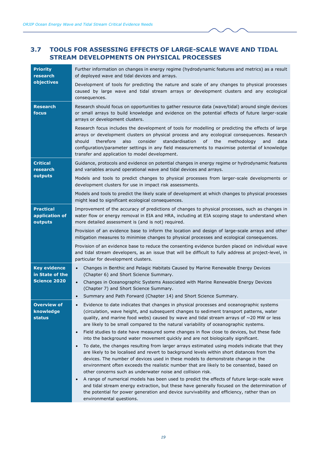## <span id="page-26-0"></span>**3.7 TOOLS FOR ASSESSING EFFECTS OF LARGE-SCALE WAVE AND TIDAL STREAM DEVELOPMENTS ON PHYSICAL PROCESSES**

| <b>Priority</b><br>research                      | Further information on changes in energy regime (hydrodynamic features and metrics) as a result<br>of deployed wave and tidal devices and arrays.                                                                                                                                                                                                                                                                                                             |
|--------------------------------------------------|---------------------------------------------------------------------------------------------------------------------------------------------------------------------------------------------------------------------------------------------------------------------------------------------------------------------------------------------------------------------------------------------------------------------------------------------------------------|
| objectives                                       | Development of tools for predicting the nature and scale of any changes to physical processes<br>caused by large wave and tidal stream arrays or development clusters and any ecological<br>consequences.                                                                                                                                                                                                                                                     |
| <b>Research</b><br>focus                         | Research should focus on opportunities to gather resource data (wave/tidal) around single devices<br>or small arrays to build knowledge and evidence on the potential effects of future larger-scale<br>arrays or development clusters.                                                                                                                                                                                                                       |
|                                                  | Research focus includes the development of tools for modelling or predicting the effects of large<br>arrays or development clusters on physical process and any ecological consequences. Research<br>standardisation<br>should<br>therefore<br>also<br>consider<br>of<br>the<br>methodology<br>and<br>data<br>configuration/parameter settings in any field measurements to maximise potential of knowledge<br>transfer and application to model development. |
| <b>Critical</b><br>research                      | Guidance, protocols and evidence on potential changes in energy regime or hydrodynamic features<br>and variables around operational wave and tidal devices and arrays.                                                                                                                                                                                                                                                                                        |
| outputs                                          | Models and tools to predict changes to physical processes from larger-scale developments or<br>development clusters for use in impact risk assessments.                                                                                                                                                                                                                                                                                                       |
|                                                  | Models and tools to predict the likely scale of development at which changes to physical processes<br>might lead to significant ecological consequences.                                                                                                                                                                                                                                                                                                      |
| <b>Practical</b><br>application of<br>outputs    | Improvement of the accuracy of predictions of changes to physical processes, such as changes in<br>water flow or energy removal in EIA and HRA, including at EIA scoping stage to understand when<br>more detailed assessment is (and is not) required.                                                                                                                                                                                                       |
|                                                  | Provision of an evidence base to inform the location and design of large-scale arrays and other<br>mitigation measures to minimise changes to physical processes and ecological consequences.                                                                                                                                                                                                                                                                 |
|                                                  | Provision of an evidence base to reduce the consenting evidence burden placed on individual wave<br>and tidal stream developers, as an issue that will be difficult to fully address at project-level, in<br>particular for development clusters.                                                                                                                                                                                                             |
| <b>Key evidence</b><br>in State of the           | Changes in Benthic and Pelagic Habitats Caused by Marine Renewable Energy Devices<br>$\bullet$<br>(Chapter 6) and Short Science Summary.                                                                                                                                                                                                                                                                                                                      |
| <b>Science 2020</b>                              | Changes in Oceanographic Systems Associated with Marine Renewable Energy Devices<br>$\bullet$<br>(Chapter 7) and Short Science Summary.                                                                                                                                                                                                                                                                                                                       |
|                                                  | Summary and Path Forward (Chapter 14) and Short Science Summary.                                                                                                                                                                                                                                                                                                                                                                                              |
| <b>Overview of</b><br>knowledge<br><b>status</b> | Evidence to date indicates that changes in physical processes and oceanographic systems<br>(circulation, wave height, and subsequent changes to sediment transport patterns, water<br>quality, and marine food webs) caused by wave and tidal stream arrays of $\sim$ 20 MW or less<br>are likely to be small compared to the natural variability of oceanographic systems.                                                                                   |
|                                                  | Field studies to date have measured some changes in flow close to devices, but these fade<br>$\bullet$<br>into the background water movement quickly and are not biologically significant.                                                                                                                                                                                                                                                                    |
|                                                  | To date, the changes resulting from larger arrays estimated using models indicate that they<br>$\bullet$<br>are likely to be localised and revert to background levels within short distances from the<br>devices. The number of devices used in these models to demonstrate change in the<br>environment often exceeds the realistic number that are likely to be consented, based on<br>other concerns such as underwater noise and collision risk.         |
|                                                  | A range of numerical models has been used to predict the effects of future large-scale wave<br>$\bullet$<br>and tidal stream energy extraction, but these have generally focused on the determination of<br>the potential for power generation and device survivability and efficiency, rather than on<br>environmental questions.                                                                                                                            |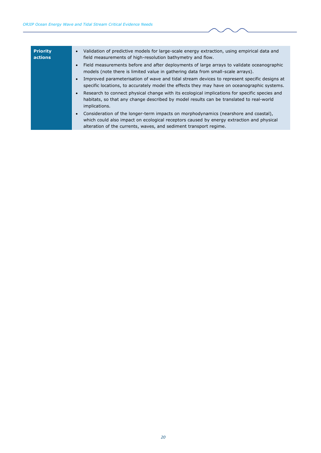| <b>Priority</b><br>actions | Validation of predictive models for large-scale energy extraction, using empirical data and<br>$\bullet$<br>field measurements of high-resolution bathymetry and flow.                                                                                            |
|----------------------------|-------------------------------------------------------------------------------------------------------------------------------------------------------------------------------------------------------------------------------------------------------------------|
|                            | Field measurements before and after deployments of large arrays to validate oceanographic<br>$\bullet$<br>models (note there is limited value in gathering data from small-scale arrays).                                                                         |
|                            | Improved parameterisation of wave and tidal stream devices to represent specific designs at<br>$\bullet$<br>specific locations, to accurately model the effects they may have on oceanographic systems.                                                           |
|                            | Research to connect physical change with its ecological implications for specific species and<br>$\bullet$<br>habitats, so that any change described by model results can be translated to real-world<br>implications.                                            |
|                            | Consideration of the longer-term impacts on morphodynamics (nearshore and coastal),<br>$\bullet$<br>which could also impact on ecological receptors caused by energy extraction and physical<br>alteration of the currents, waves, and sediment transport regime. |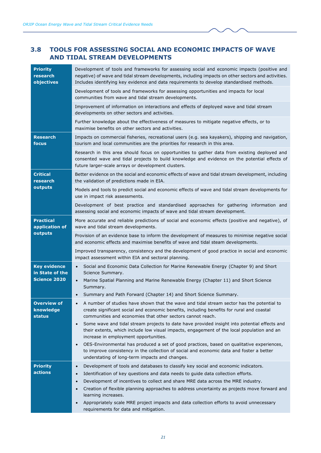## <span id="page-28-0"></span>**3.8 TOOLS FOR ASSESSING SOCIAL AND ECONOMIC IMPACTS OF WAVE AND TIDAL STREAM DEVELOPMENTS**

| <b>Priority</b><br>research<br>objectives        | Development of tools and frameworks for assessing social and economic impacts (positive and<br>negative) of wave and tidal stream developments, including impacts on other sectors and activities.<br>Includes identifying key evidence and data requirements to develop standardised methods.                                                                                                                                                                                                                                                                             |
|--------------------------------------------------|----------------------------------------------------------------------------------------------------------------------------------------------------------------------------------------------------------------------------------------------------------------------------------------------------------------------------------------------------------------------------------------------------------------------------------------------------------------------------------------------------------------------------------------------------------------------------|
|                                                  | Development of tools and frameworks for assessing opportunities and impacts for local<br>communities from wave and tidal stream developments.                                                                                                                                                                                                                                                                                                                                                                                                                              |
|                                                  | Improvement of information on interactions and effects of deployed wave and tidal stream<br>developments on other sectors and activities.                                                                                                                                                                                                                                                                                                                                                                                                                                  |
|                                                  | Further knowledge about the effectiveness of measures to mitigate negative effects, or to<br>maximise benefits on other sectors and activities.                                                                                                                                                                                                                                                                                                                                                                                                                            |
| <b>Research</b><br>focus                         | Impacts on commercial fisheries, recreational users (e.g. sea kayakers), shipping and navigation,<br>tourism and local communities are the priorities for research in this area.                                                                                                                                                                                                                                                                                                                                                                                           |
|                                                  | Research in this area should focus on opportunities to gather data from existing deployed and<br>consented wave and tidal projects to build knowledge and evidence on the potential effects of<br>future larger-scale arrays or development clusters.                                                                                                                                                                                                                                                                                                                      |
| <b>Critical</b><br>research                      | Better evidence on the social and economic effects of wave and tidal stream development, including<br>the validation of predictions made in EIA.                                                                                                                                                                                                                                                                                                                                                                                                                           |
| outputs                                          | Models and tools to predict social and economic effects of wave and tidal stream developments for<br>use in impact risk assessments.                                                                                                                                                                                                                                                                                                                                                                                                                                       |
|                                                  | Development of best practice and standardised approaches for gathering information and<br>assessing social and economic impacts of wave and tidal stream development.                                                                                                                                                                                                                                                                                                                                                                                                      |
| <b>Practical</b><br>application of               | More accurate and reliable predictions of social and economic effects (positive and negative), of<br>wave and tidal stream developments.                                                                                                                                                                                                                                                                                                                                                                                                                                   |
| outputs                                          | Provision of an evidence base to inform the development of measures to minimise negative social<br>and economic effects and maximise benefits of wave and tidal steam developments.                                                                                                                                                                                                                                                                                                                                                                                        |
|                                                  | Improved transparency, consistency and the development of good practice in social and economic<br>impact assessment within EIA and sectoral planning.                                                                                                                                                                                                                                                                                                                                                                                                                      |
| <b>Key evidence</b><br>in State of the           | Social and Economic Data Collection for Marine Renewable Energy (Chapter 9) and Short<br>$\bullet$<br>Science Summary.                                                                                                                                                                                                                                                                                                                                                                                                                                                     |
| <b>Science 2020</b>                              | Marine Spatial Planning and Marine Renewable Energy (Chapter 11) and Short Science<br>$\bullet$<br>Summary.                                                                                                                                                                                                                                                                                                                                                                                                                                                                |
|                                                  | Summary and Path Forward (Chapter 14) and Short Science Summary.<br>$\bullet$                                                                                                                                                                                                                                                                                                                                                                                                                                                                                              |
| <b>Overview of</b><br>knowledge<br><b>status</b> | A number of studies have shown that the wave and tidal stream sector has the potential to<br>$\bullet$<br>create significant social and economic benefits, including benefits for rural and coastal<br>communities and economies that other sectors cannot reach.                                                                                                                                                                                                                                                                                                          |
|                                                  | Some wave and tidal stream projects to date have provided insight into potential effects and<br>$\bullet$<br>their extents, which include low visual impacts, engagement of the local population and an<br>increase in employment opportunities.                                                                                                                                                                                                                                                                                                                           |
|                                                  | OES-Environmental has produced a set of good practices, based on qualitative experiences,<br>$\bullet$<br>to improve consistency in the collection of social and economic data and foster a better<br>understating of long-term impacts and changes.                                                                                                                                                                                                                                                                                                                       |
| <b>Priority</b><br>actions                       | Development of tools and databases to classify key social and economic indicators.<br>$\bullet$<br>Identification of key questions and data needs to guide data collection efforts.<br>$\bullet$<br>Development of incentives to collect and share MRE data across the MRE industry.<br>$\bullet$<br>Creation of flexible planning approaches to address uncertainty as projects move forward and<br>$\bullet$<br>learning increases.<br>Appropriately scale MRE project impacts and data collection efforts to avoid unnecessary<br>requirements for data and mitigation. |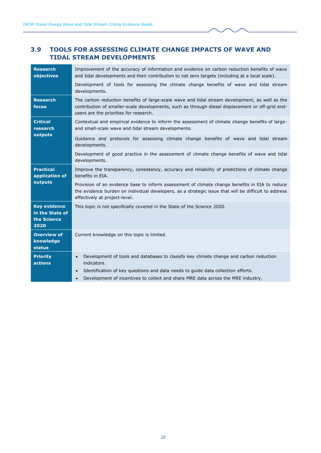## <span id="page-29-0"></span>**3.9 TOOLS FOR ASSESSING CLIMATE CHANGE IMPACTS OF WAVE AND TIDAL STREAM DEVELOPMENTS**

| <b>Research</b><br>objectives                                 | Improvement of the accuracy of information and evidence on carbon reduction benefits of wave<br>and tidal developments and their contribution to net zero targets (including at a local scale).                                              |  |
|---------------------------------------------------------------|----------------------------------------------------------------------------------------------------------------------------------------------------------------------------------------------------------------------------------------------|--|
|                                                               | Development of tools for assessing the climate change benefits of wave and tidal stream<br>developments.                                                                                                                                     |  |
| <b>Research</b><br>focus                                      | The carbon reduction benefits of large-scale wave and tidal stream development, as well as the<br>contribution of smaller-scale developments, such as through diesel displacement or off-grid end-<br>users are the priorities for research. |  |
| <b>Critical</b><br>research<br>outputs                        | Contextual and empirical evidence to inform the assessment of climate change benefits of large-<br>and small-scale wave and tidal stream developments.                                                                                       |  |
|                                                               | Guidance and protocols for assessing climate change benefits of wave and tidal stream<br>developments.                                                                                                                                       |  |
|                                                               | Development of good practice in the assessment of climate change benefits of wave and tidal<br>developments.                                                                                                                                 |  |
| <b>Practical</b><br>application of<br>outputs                 | Improve the transparency, consistency, accuracy and reliability of predictions of climate change<br>benefits in EIA.                                                                                                                         |  |
|                                                               | Provision of an evidence base to inform assessment of climate change benefits in EIA to reduce<br>the evidence burden on individual developers, as a strategic issue that will be difficult to address<br>effectively at project-level.      |  |
| <b>Key evidence</b><br>in the State of<br>the Science<br>2020 | This topic is not specifically covered in the State of the Science 2020.                                                                                                                                                                     |  |
| <b>Overview of</b><br>knowledge<br>status                     | Current knowledge on this topic is limited.                                                                                                                                                                                                  |  |
| <b>Priority</b><br>actions                                    | Development of tools and databases to classify key climate change and carbon reduction<br>$\bullet$<br>indicators.                                                                                                                           |  |
|                                                               | Identification of key questions and data needs to guide data collection efforts.<br>$\bullet$                                                                                                                                                |  |
|                                                               | Development of incentives to collect and share MRE data across the MRE industry.<br>$\bullet$                                                                                                                                                |  |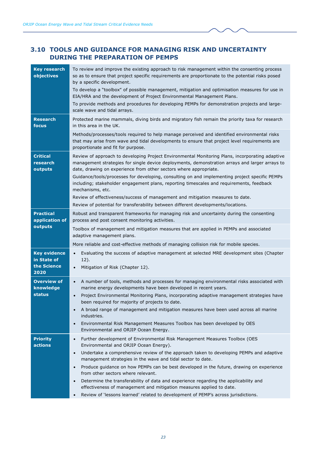### <span id="page-30-0"></span>**3.10 TOOLS AND GUIDANCE FOR MANAGING RISK AND UNCERTAINTY DURING THE PREPARATION OF PEMPS**

| <b>Key research</b><br>objectives                         | To review and improve the existing approach to risk management within the consenting process<br>so as to ensure that project specific requirements are proportionate to the potential risks posed<br>by a specific development.<br>To develop a "toolbox" of possible management, mitigation and optimisation measures for use in<br>EIA/HRA and the development of Project Environmental Management Plans.<br>To provide methods and procedures for developing PEMPs for demonstration projects and large-<br>scale wave and tidal arrays. |
|-----------------------------------------------------------|---------------------------------------------------------------------------------------------------------------------------------------------------------------------------------------------------------------------------------------------------------------------------------------------------------------------------------------------------------------------------------------------------------------------------------------------------------------------------------------------------------------------------------------------|
| <b>Research</b><br>focus                                  | Protected marine mammals, diving birds and migratory fish remain the priority taxa for research<br>in this area in the UK.                                                                                                                                                                                                                                                                                                                                                                                                                  |
|                                                           | Methods/processes/tools required to help manage perceived and identified environmental risks<br>that may arise from wave and tidal developments to ensure that project level requirements are<br>proportionate and fit for purpose.                                                                                                                                                                                                                                                                                                         |
| <b>Critical</b><br>research<br>outputs                    | Review of approach to developing Project Environmental Monitoring Plans, incorporating adaptive<br>management strategies for single device deployments, demonstration arrays and larger arrays to<br>date, drawing on experience from other sectors where appropriate.                                                                                                                                                                                                                                                                      |
|                                                           | Guidance/tools/processes for developing, consulting on and implementing project specific PEMPs<br>including; stakeholder engagement plans, reporting timescales and requirements, feedback<br>mechanisms, etc.                                                                                                                                                                                                                                                                                                                              |
|                                                           | Review of effectiveness/success of management and mitigation measures to date.<br>Review of potential for transferability between different developments/locations.                                                                                                                                                                                                                                                                                                                                                                         |
| <b>Practical</b><br>application of                        | Robust and transparent frameworks for managing risk and uncertainty during the consenting<br>process and post consent monitoring activities.                                                                                                                                                                                                                                                                                                                                                                                                |
| outputs                                                   | Toolbox of management and mitigation measures that are applied in PEMPs and associated<br>adaptive management plans.                                                                                                                                                                                                                                                                                                                                                                                                                        |
|                                                           | More reliable and cost-effective methods of managing collision risk for mobile species.                                                                                                                                                                                                                                                                                                                                                                                                                                                     |
| <b>Key evidence</b><br>in State of<br>the Science<br>2020 | Evaluating the success of adaptive management at selected MRE development sites (Chapter<br>$\bullet$<br>$12$ ).<br>Mitigation of Risk (Chapter 12).<br>$\bullet$                                                                                                                                                                                                                                                                                                                                                                           |
| <b>Overview of</b><br>knowledge<br>status                 | A number of tools, methods and processes for managing environmental risks associated with<br>$\bullet$<br>marine energy developments have been developed in recent years.<br>Project Environmental Monitoring Plans, incorporating adaptive management strategies have<br>$\bullet$                                                                                                                                                                                                                                                         |
|                                                           | been required for majority of projects to date.<br>A broad range of management and mitigation measures have been used across all marine<br>industries.                                                                                                                                                                                                                                                                                                                                                                                      |
|                                                           | Environmental Risk Management Measures Toolbox has been developed by OES<br>$\bullet$<br>Environmental and ORJIP Ocean Energy.                                                                                                                                                                                                                                                                                                                                                                                                              |
| <b>Priority</b><br>actions                                | Further development of Environmental Risk Management Measures Toolbox (OES<br>$\bullet$<br>Environmental and ORJIP Ocean Energy).                                                                                                                                                                                                                                                                                                                                                                                                           |
|                                                           | Undertake a comprehensive review of the approach taken to developing PEMPs and adaptive<br>$\bullet$<br>management strategies in the wave and tidal sector to date.                                                                                                                                                                                                                                                                                                                                                                         |
|                                                           | Produce guidance on how PEMPs can be best developed in the future, drawing on experience<br>$\bullet$<br>from other sectors where relevant.                                                                                                                                                                                                                                                                                                                                                                                                 |
|                                                           | Determine the transferability of data and experience regarding the applicability and<br>$\bullet$<br>effectiveness of management and mitigation measures applied to date.                                                                                                                                                                                                                                                                                                                                                                   |
|                                                           | Review of 'lessons learned' related to development of PEMP's across jurisdictions.<br>$\bullet$                                                                                                                                                                                                                                                                                                                                                                                                                                             |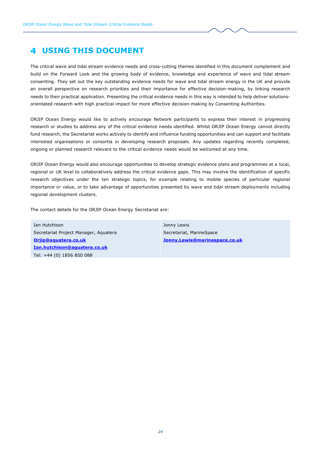## <span id="page-31-0"></span>**USING THIS DOCUMENT**

The critical wave and tidal stream evidence needs and cross-cutting themes identified in this document complement and build on the Forward Look and the growing body of evidence, knowledge and experience of wave and tidal stream consenting. They set out the key outstanding evidence needs for wave and tidal stream energy in the UK and provide an overall perspective on research priorities and their importance for effective decision-making, by linking research needs to their practical application. Presenting the critical evidence needs in this way is intended to help deliver solutionsorientated research with high practical impact for more effective decision-making by Consenting Authorities.

ORJIP Ocean Energy would like to actively encourage Network participants to express their interest in progressing research or studies to address any of the critical evidence needs identified. Whilst ORJIP Ocean Energy cannot directly fund research, the Secretariat works actively to identify and influence funding opportunities and can support and facilitate interested organisations or consortia in developing research proposals. Any updates regarding recently completed, ongoing or planned research relevant to the critical evidence needs would be welcomed at any time.

ORJIP Ocean Energy would also encourage opportunities to develop strategic evidence plans and programmes at a local, regional or UK level to collaboratively address the critical evidence gaps. This may involve the identification of specific research objectives under the ten strategic topics, for example relating to mobile species of particular regional importance or value, or to take advantage of opportunities presented by wave and tidal stream deployments including regional development clusters.

The contact details for the ORJIP Ocean Energy Secretariat are:

Ian Hutchison Secretariat Project Manager, Aquatera **[Orjip@aquatera.co.uk](mailto:Orjip@aquatera.co.uk) [Ian.hutchison@aquatera.co.uk](mailto:Ian.hutchison@aquatera.co.uk)** Tel: +44 (0) 1856 850 088

Jonny Lewis Secretariat, MarineSpace **[Jonny.Lewis@marinespace.co.uk](mailto:Jonny.Lewis@marinespace.co.uk)**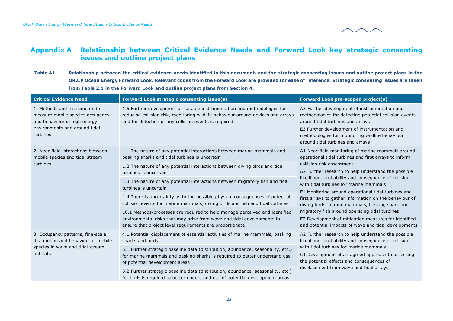## **Appendix A Relationship between Critical Evidence Needs and Forward Look key strategic consenting issues and outline project plans**

**Table A1 Relationship between the critical evidence needs identified in this document, and the strategic consenting issues and outline project plans in the ORJIP Ocean Energy Forward Look. Relevant codes from the Forward Look are provided for ease of reference. Strategic consenting issues are taken from Table 2.1 in the Forward Look and outline project plans from Section 4.**

<span id="page-32-0"></span>

| <b>Critical Evidence Need</b>                                                                                                                  | <b>Forward Look strategic consenting issue(s)</b>                                                                                                                                                                      | <b>Forward Look pre-scoped project(s)</b>                                                                                                                                                                                                                                                                                                                                                                                                                                                                                                                                                                                              |
|------------------------------------------------------------------------------------------------------------------------------------------------|------------------------------------------------------------------------------------------------------------------------------------------------------------------------------------------------------------------------|----------------------------------------------------------------------------------------------------------------------------------------------------------------------------------------------------------------------------------------------------------------------------------------------------------------------------------------------------------------------------------------------------------------------------------------------------------------------------------------------------------------------------------------------------------------------------------------------------------------------------------------|
| 1. Methods and instruments to<br>measure mobile species occupancy<br>and behaviour in high energy<br>environments and around tidal<br>turbines | 1.5 Further development of suitable instrumentation and methodologies for<br>reducing collision risk, monitoring wildlife behaviour around devices and arrays<br>and for detection of any collision events is required | A3 Further development of instrumentation and<br>methodologies for detecting potential collision events<br>around tidal turbines and arrays<br>E3 Further development of instrumentation and<br>methodologies for monitoring wildlife behaviour<br>around tidal turbines and arrays                                                                                                                                                                                                                                                                                                                                                    |
| 2. Near-field interactions between<br>mobile species and tidal stream                                                                          | 1.1 The nature of any potential interactions between marine mammals and<br>basking sharks and tidal turbines is uncertain                                                                                              | A1 Near-field monitoring of marine mammals around<br>operational tidal turbines and first arrays to inform<br>collision risk assessment<br>A2 Further research to help understand the possible<br>likelihood, probability and consequence of collision<br>with tidal turbines for marine mammals<br>E1 Monitoring around operational tidal turbines and<br>first arrays to gather information on the behaviour of<br>diving birds, marine mammals, basking shark and<br>migratory fish around operating tidal turbines<br>E2 Development of mitigation measures for identified<br>and potential impacts of wave and tidal developments |
| turbines                                                                                                                                       | 1.2 The nature of any potential interactions between diving birds and tidal<br>turbines is uncertain                                                                                                                   |                                                                                                                                                                                                                                                                                                                                                                                                                                                                                                                                                                                                                                        |
|                                                                                                                                                | 1.3 The nature of any potential interactions between migratory fish and tidal<br>turbines is uncertain                                                                                                                 |                                                                                                                                                                                                                                                                                                                                                                                                                                                                                                                                                                                                                                        |
|                                                                                                                                                | 1.4 There is uncertainty as to the possible physical consequences of potential<br>collision events for marine mammals, diving birds and fish and tidal turbines                                                        |                                                                                                                                                                                                                                                                                                                                                                                                                                                                                                                                                                                                                                        |
|                                                                                                                                                | 10.1 Methods/processes are required to help manage perceived and identified<br>environmental risks that may arise from wave and tidal developments to<br>ensure that project level requirements are proportionate      |                                                                                                                                                                                                                                                                                                                                                                                                                                                                                                                                                                                                                                        |
| 3. Occupancy patterns, fine-scale<br>distribution and behaviour of mobile                                                                      | 4.1 Potential displacement of essential activities of marine mammals, basking<br>sharks and birds                                                                                                                      | A2 Further research to help understand the possible<br>likelihood, probability and consequence of collision                                                                                                                                                                                                                                                                                                                                                                                                                                                                                                                            |
| species in wave and tidal stream<br>habitats                                                                                                   | 5.1 Further strategic baseline data (distribution, abundance, seasonality, etc.)<br>for marine mammals and basking sharks is required to better understand use<br>of potential development areas                       | with tidal turbines for marine mammals<br>C1 Development of an agreed approach to assessing<br>the potential effects and consequences of<br>displacement from wave and tidal arrays                                                                                                                                                                                                                                                                                                                                                                                                                                                    |
|                                                                                                                                                | 5.2 Further strategic baseline data (distribution, abundance, seasonality, etc.)<br>for birds is required to better understand use of potential development areas                                                      |                                                                                                                                                                                                                                                                                                                                                                                                                                                                                                                                                                                                                                        |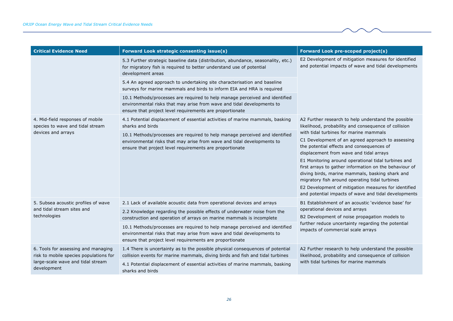| <b>Critical Evidence Need</b>                                                 | <b>Forward Look strategic consenting issue(s)</b>                                                                                                                                                                 | Forward Look pre-scoped project(s)                                                                                                                                                                                                                                                                                                                                                                                                                                                                                                                                                                                                       |
|-------------------------------------------------------------------------------|-------------------------------------------------------------------------------------------------------------------------------------------------------------------------------------------------------------------|------------------------------------------------------------------------------------------------------------------------------------------------------------------------------------------------------------------------------------------------------------------------------------------------------------------------------------------------------------------------------------------------------------------------------------------------------------------------------------------------------------------------------------------------------------------------------------------------------------------------------------------|
|                                                                               | 5.3 Further strategic baseline data (distribution, abundance, seasonality, etc.)<br>for migratory fish is required to better understand use of potential<br>development areas                                     | E2 Development of mitigation measures for identified<br>and potential impacts of wave and tidal developments                                                                                                                                                                                                                                                                                                                                                                                                                                                                                                                             |
|                                                                               | 5.4 An agreed approach to undertaking site characterisation and baseline<br>surveys for marine mammals and birds to inform EIA and HRA is required                                                                |                                                                                                                                                                                                                                                                                                                                                                                                                                                                                                                                                                                                                                          |
|                                                                               | 10.1 Methods/processes are required to help manage perceived and identified<br>environmental risks that may arise from wave and tidal developments to<br>ensure that project level requirements are proportionate |                                                                                                                                                                                                                                                                                                                                                                                                                                                                                                                                                                                                                                          |
| 4. Mid-field responses of mobile<br>species to wave and tidal stream          | 4.1 Potential displacement of essential activities of marine mammals, basking<br>sharks and birds                                                                                                                 | A2 Further research to help understand the possible<br>likelihood, probability and consequence of collision<br>with tidal turbines for marine mammals<br>C1 Development of an agreed approach to assessing<br>the potential effects and consequences of<br>displacement from wave and tidal arrays<br>E1 Monitoring around operational tidal turbines and<br>first arrays to gather information on the behaviour of<br>diving birds, marine mammals, basking shark and<br>migratory fish around operating tidal turbines<br>E2 Development of mitigation measures for identified<br>and potential impacts of wave and tidal developments |
| devices and arrays                                                            | 10.1 Methods/processes are required to help manage perceived and identified<br>environmental risks that may arise from wave and tidal developments to<br>ensure that project level requirements are proportionate |                                                                                                                                                                                                                                                                                                                                                                                                                                                                                                                                                                                                                                          |
| 5. Subsea acoustic profiles of wave                                           | 2.1 Lack of available acoustic data from operational devices and arrays                                                                                                                                           | B1 Establishment of an acoustic 'evidence base' for                                                                                                                                                                                                                                                                                                                                                                                                                                                                                                                                                                                      |
| and tidal stream sites and<br>technologies                                    | 2.2 Knowledge regarding the possible effects of underwater noise from the<br>construction and operation of arrays on marine mammals is incomplete                                                                 | operational devices and arrays<br>B2 Development of noise propagation models to<br>further reduce uncertainty regarding the potential<br>impacts of commercial scale arrays                                                                                                                                                                                                                                                                                                                                                                                                                                                              |
|                                                                               | 10.1 Methods/processes are required to help manage perceived and identified<br>environmental risks that may arise from wave and tidal developments to<br>ensure that project level requirements are proportionate |                                                                                                                                                                                                                                                                                                                                                                                                                                                                                                                                                                                                                                          |
| 6. Tools for assessing and managing<br>risk to mobile species populations for | 1.4 There is uncertainty as to the possible physical consequences of potential<br>collision events for marine mammals, diving birds and fish and tidal turbines                                                   | A2 Further research to help understand the possible<br>likelihood, probability and consequence of collision<br>with tidal turbines for marine mammals                                                                                                                                                                                                                                                                                                                                                                                                                                                                                    |
| large-scale wave and tidal stream<br>development                              | 4.1 Potential displacement of essential activities of marine mammals, basking<br>sharks and birds                                                                                                                 |                                                                                                                                                                                                                                                                                                                                                                                                                                                                                                                                                                                                                                          |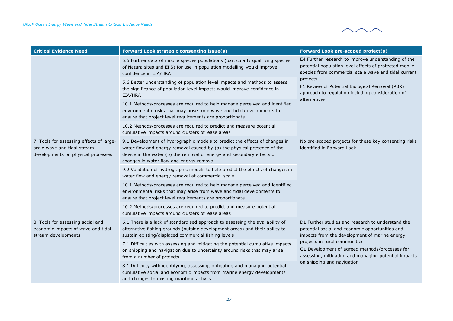| <b>Critical Evidence Need</b>                                                                                 | Forward Look strategic consenting issue(s)                                                                                                                                                                                                                                    | <b>Forward Look pre-scoped project(s)</b>                                                                                                                                                                                                                                                                 |
|---------------------------------------------------------------------------------------------------------------|-------------------------------------------------------------------------------------------------------------------------------------------------------------------------------------------------------------------------------------------------------------------------------|-----------------------------------------------------------------------------------------------------------------------------------------------------------------------------------------------------------------------------------------------------------------------------------------------------------|
|                                                                                                               | 5.5 Further data of mobile species populations (particularly qualifying species<br>of Natura sites and EPS) for use in population modelling would improve<br>confidence in EIA/HRA                                                                                            | E4 Further research to improve understanding of the<br>potential population level effects of protected mobile<br>species from commercial scale wave and tidal current<br>projects<br>F1 Review of Potential Biological Removal (PBR)<br>approach to regulation including consideration of<br>alternatives |
|                                                                                                               | 5.6 Better understanding of population level impacts and methods to assess<br>the significance of population level impacts would improve confidence in<br>EIA/HRA                                                                                                             |                                                                                                                                                                                                                                                                                                           |
|                                                                                                               | 10.1 Methods/processes are required to help manage perceived and identified<br>environmental risks that may arise from wave and tidal developments to<br>ensure that project level requirements are proportionate                                                             |                                                                                                                                                                                                                                                                                                           |
|                                                                                                               | 10.2 Methods/processes are required to predict and measure potential<br>cumulative impacts around clusters of lease areas                                                                                                                                                     |                                                                                                                                                                                                                                                                                                           |
| 7. Tools for assessing effects of large-<br>scale wave and tidal stream<br>developments on physical processes | 9.1 Development of hydrographic models to predict the effects of changes in<br>water flow and energy removal caused by (a) the physical presence of the<br>device in the water (b) the removal of energy and secondary effects of<br>changes in water flow and energy removal | No pre-scoped projects for these key consenting risks<br>identified in Forward Look                                                                                                                                                                                                                       |
|                                                                                                               | 9.2 Validation of hydrographic models to help predict the effects of changes in<br>water flow and energy removal at commercial scale                                                                                                                                          |                                                                                                                                                                                                                                                                                                           |
|                                                                                                               | 10.1 Methods/processes are required to help manage perceived and identified<br>environmental risks that may arise from wave and tidal developments to<br>ensure that project level requirements are proportionate                                                             |                                                                                                                                                                                                                                                                                                           |
|                                                                                                               | 10.2 Methods/processes are required to predict and measure potential<br>cumulative impacts around clusters of lease areas                                                                                                                                                     |                                                                                                                                                                                                                                                                                                           |
| 8. Tools for assessing social and<br>economic impacts of wave and tidal<br>stream developments                | 6.1 There is a lack of standardised approach to assessing the availability of<br>alternative fishing grounds (outside development areas) and their ability to<br>sustain existing/displaced commercial fishing levels                                                         | D1 Further studies and research to understand the<br>potential social and economic opportunities and<br>impacts from the development of marine energy<br>projects in rural communities<br>G1 Development of agreed methods/processes for<br>assessing, mitigating and managing potential impacts          |
|                                                                                                               | 7.1 Difficulties with assessing and mitigating the potential cumulative impacts<br>on shipping and navigation due to uncertainty around risks that may arise<br>from a number of projects                                                                                     |                                                                                                                                                                                                                                                                                                           |
|                                                                                                               | 8.1 Difficulty with identifying, assessing, mitigating and managing potential<br>cumulative social and economic impacts from marine energy developments<br>and changes to existing maritime activity                                                                          | on shipping and navigation                                                                                                                                                                                                                                                                                |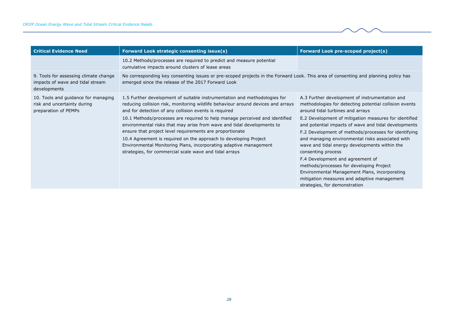| <b>Critical Evidence Need</b>                                                              | <b>Forward Look strategic consenting issue(s)</b>                                                                                                                                                                                                                                                                                                                                                                                                                                                                                                                                                                                              | Forward Look pre-scoped project(s)                                                                                                                                                                                                                                                                                                                                                                                                                                                                                                                                                                                                                                |
|--------------------------------------------------------------------------------------------|------------------------------------------------------------------------------------------------------------------------------------------------------------------------------------------------------------------------------------------------------------------------------------------------------------------------------------------------------------------------------------------------------------------------------------------------------------------------------------------------------------------------------------------------------------------------------------------------------------------------------------------------|-------------------------------------------------------------------------------------------------------------------------------------------------------------------------------------------------------------------------------------------------------------------------------------------------------------------------------------------------------------------------------------------------------------------------------------------------------------------------------------------------------------------------------------------------------------------------------------------------------------------------------------------------------------------|
|                                                                                            | 10.2 Methods/processes are required to predict and measure potential<br>cumulative impacts around clusters of lease areas                                                                                                                                                                                                                                                                                                                                                                                                                                                                                                                      |                                                                                                                                                                                                                                                                                                                                                                                                                                                                                                                                                                                                                                                                   |
| 9. Tools for assessing climate change<br>impacts of wave and tidal stream<br>developments  | No corresponding key consenting issues or pre-scoped projects in the Forward Look. This area of consenting and planning policy has<br>emerged since the release of the 2017 Forward Look                                                                                                                                                                                                                                                                                                                                                                                                                                                       |                                                                                                                                                                                                                                                                                                                                                                                                                                                                                                                                                                                                                                                                   |
| 10. Tools and guidance for managing<br>risk and uncertainty during<br>preparation of PEMPs | 1.5 Further development of suitable instrumentation and methodologies for<br>reducing collision risk, monitoring wildlife behaviour around devices and arrays<br>and for detection of any collision events is required<br>10.1 Methods/processes are required to help manage perceived and identified<br>environmental risks that may arise from wave and tidal developments to<br>ensure that project level requirements are proportionate<br>10.4 Agreement is required on the approach to developing Project<br>Environmental Monitoring Plans, incorporating adaptive management<br>strategies, for commercial scale wave and tidal arrays | A.3 Further development of instrumentation and<br>methodologies for detecting potential collision events<br>around tidal turbines and arrays<br>E.2 Development of mitigation measures for identified<br>and potential impacts of wave and tidal developments<br>F.2 Development of methods/processes for identifying<br>and managing environmental risks associated with<br>wave and tidal energy developments within the<br>consenting process<br>F.4 Development and agreement of<br>methods/processes for developing Project<br>Environmental Management Plans, incorporating<br>mitigation measures and adaptive management<br>strategies, for demonstration |